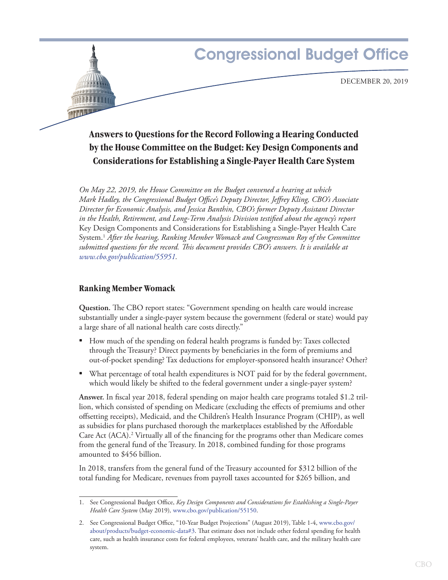

# **Answers to Questions for the Record Following a Hearing Conducted by the House Committee on the Budget: Key Design Components and Considerations for Establishing a Single-Payer Health Care System**

*On May 22, 2019, the House Committee on the Budget convened a hearing at which Mark Hadley, the Congressional Budget Office's Deputy Director, Jeffrey Kling, CBO's Associate Director for Economic Analysis, and Jessica Banthin, CBO's former Deputy Assistant Director in the Health, Retirement, and Long-Term Analysis Division testified about the agency's report*  Key Design Components and Considerations for Establishing a Single-Payer Health Care System.1  *After the hearing, Ranking Member Womack and Congressman Roy of the Committee submitted questions for the record. This document provides CBO's answers. It is available at [www.cbo.gov/publication/55951.](http://www.cbo.gov/publication/55951)*

### **Ranking Member Womack**

**Question.** The CBO report states: "Government spending on health care would increase substantially under a single-payer system because the government (federal or state) would pay a large share of all national health care costs directly."

- How much of the spending on federal health programs is funded by: Taxes collected through the Treasury? Direct payments by beneficiaries in the form of premiums and out-of-pocket spending? Tax deductions for employer-sponsored health insurance? Other?
- What percentage of total health expenditures is NOT paid for by the federal government, which would likely be shifted to the federal government under a single-payer system?

**Answer.** In fiscal year 2018, federal spending on major health care programs totaled \$1.2 trillion, which consisted of spending on Medicare (excluding the effects of premiums and other offsetting receipts), Medicaid, and the Children's Health Insurance Program (CHIP), as well as subsidies for plans purchased thorough the marketplaces established by the Affordable Care Act (ACA).2 Virtually all of the financing for the programs other than Medicare comes from the general fund of the Treasury. In 2018, combined funding for those programs amounted to \$456 billion.

In 2018, transfers from the general fund of the Treasury accounted for \$312 billion of the total funding for Medicare, revenues from payroll taxes accounted for \$265 billion, and

<sup>1.</sup> See Congressional Budget Office, *Key Design Components and Considerations for Establishing a Single-Payer Health Care System* (May 2019)*,* [www.cbo.gov/publication/55150.](https://www.cbo.gov/publication/55150)

<sup>2.</sup> See Congressional Budget Office, "10-Year Budget Projections" (August 2019), Table 1-4, [www.cbo.gov/](http://www.cbo.gov/about/products/budget-economic-data#3) [about/products/budget-economic-data#3](http://www.cbo.gov/about/products/budget-economic-data#3). That estimate does not include other federal spending for health care, such as health insurance costs for federal employees, veterans' health care, and the military health care system.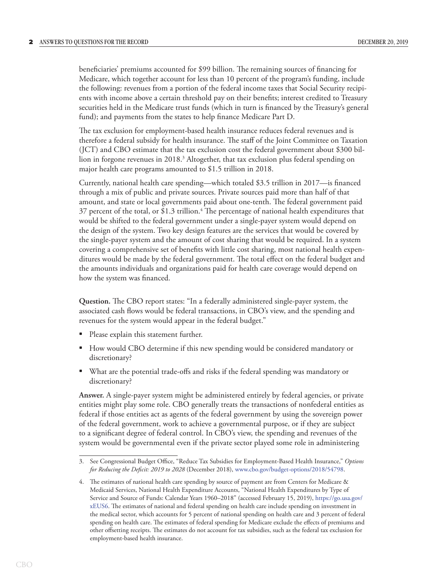beneficiaries' premiums accounted for \$99 billion. The remaining sources of financing for Medicare, which together account for less than 10 percent of the program's funding, include the following: revenues from a portion of the federal income taxes that Social Security recipients with income above a certain threshold pay on their benefits; interest credited to Treasury securities held in the Medicare trust funds (which in turn is financed by the Treasury's general fund); and payments from the states to help finance Medicare Part D.

The tax exclusion for employment-based health insurance reduces federal revenues and is therefore a federal subsidy for health insurance. The staff of the Joint Committee on Taxation (JCT) and CBO estimate that the tax exclusion cost the federal government about \$300 billion in forgone revenues in 2018.3 Altogether, that tax exclusion plus federal spending on major health care programs amounted to \$1.5 trillion in 2018.

Currently, national health care spending—which totaled \$3.5 trillion in 2017—is financed through a mix of public and private sources. Private sources paid more than half of that amount, and state or local governments paid about one-tenth. The federal government paid 37 percent of the total, or \$1.3 trillion.<sup>4</sup> The percentage of national health expenditures that would be shifted to the federal government under a single-payer system would depend on the design of the system. Two key design features are the services that would be covered by the single-payer system and the amount of cost sharing that would be required. In a system covering a comprehensive set of benefits with little cost sharing, most national health expenditures would be made by the federal government. The total effect on the federal budget and the amounts individuals and organizations paid for health care coverage would depend on how the system was financed.

**Question.** The CBO report states: "In a federally administered single-payer system, the associated cash flows would be federal transactions, in CBO's view, and the spending and revenues for the system would appear in the federal budget."

- Please explain this statement further.
- How would CBO determine if this new spending would be considered mandatory or discretionary?
- What are the potential trade-offs and risks if the federal spending was mandatory or discretionary?

**Answer.** A single-payer system might be administered entirely by federal agencies, or private entities might play some role. CBO generally treats the transactions of nonfederal entities as federal if those entities act as agents of the federal government by using the sovereign power of the federal government, work to achieve a governmental purpose, or if they are subject to a significant degree of federal control. In CBO's view, the spending and revenues of the system would be governmental even if the private sector played some role in administering

<sup>3.</sup> See Congressional Budget Office, "Reduce Tax Subsidies for Employment-Based Health Insurance," *Options for Reducing the Deficit: 2019 to 2028* (December 2018), [www.cbo.gov/budget-options/2018/54798.](https://www.cbo.gov/budget-options/2018/54798)

<sup>4.</sup> The estimates of national health care spending by source of payment are from Centers for Medicare & Medicaid Services, National Health Expenditure Accounts, "National Health Expenditures by Type of Service and Source of Funds: Calendar Years 1960–2018" (accessed February 15, 2019), [https://go.usa.gov/](https://go.usa.gov/xEUS6) [xEUS6.](https://go.usa.gov/xEUS6) The estimates of national and federal spending on health care include spending on investment in the medical sector, which accounts for 5 percent of national spending on health care and 3 percent of federal spending on health care. The estimates of federal spending for Medicare exclude the effects of premiums and other offsetting receipts. The estimates do not account for tax subsidies, such as the federal tax exclusion for employment-based health insurance.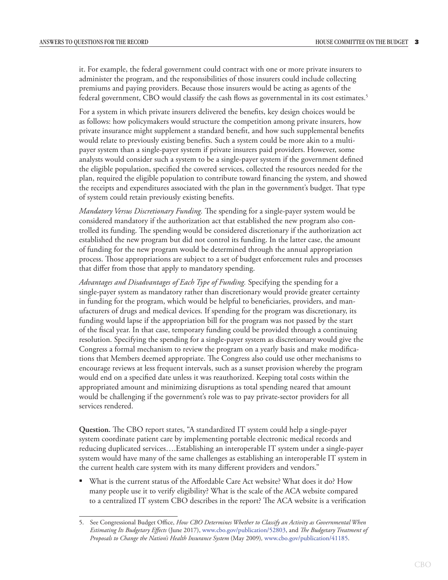it. For example, the federal government could contract with one or more private insurers to administer the program, and the responsibilities of those insurers could include collecting premiums and paying providers. Because those insurers would be acting as agents of the federal government, CBO would classify the cash flows as governmental in its cost estimates.5

For a system in which private insurers delivered the benefits, key design choices would be as follows: how policymakers would structure the competition among private insurers, how private insurance might supplement a standard benefit, and how such supplemental benefits would relate to previously existing benefits. Such a system could be more akin to a multipayer system than a single-payer system if private insurers paid providers. However, some analysts would consider such a system to be a single-payer system if the government defined the eligible population, specified the covered services, collected the resources needed for the plan, required the eligible population to contribute toward financing the system, and showed the receipts and expenditures associated with the plan in the government's budget. That type of system could retain previously existing benefits.

*Mandatory Versus Discretionary Funding.* The spending for a single-payer system would be considered mandatory if the authorization act that established the new program also controlled its funding. The spending would be considered discretionary if the authorization act established the new program but did not control its funding. In the latter case, the amount of funding for the new program would be determined through the annual appropriation process. Those appropriations are subject to a set of budget enforcement rules and processes that differ from those that apply to mandatory spending.

*Advantages and Disadvantages of Each Type of Funding.* Specifying the spending for a single-payer system as mandatory rather than discretionary would provide greater certainty in funding for the program, which would be helpful to beneficiaries, providers, and manufacturers of drugs and medical devices. If spending for the program was discretionary, its funding would lapse if the appropriation bill for the program was not passed by the start of the fiscal year. In that case, temporary funding could be provided through a continuing resolution. Specifying the spending for a single-payer system as discretionary would give the Congress a formal mechanism to review the program on a yearly basis and make modifications that Members deemed appropriate. The Congress also could use other mechanisms to encourage reviews at less frequent intervals, such as a sunset provision whereby the program would end on a specified date unless it was reauthorized. Keeping total costs within the appropriated amount and minimizing disruptions as total spending neared that amount would be challenging if the government's role was to pay private-sector providers for all services rendered.

**Question.** The CBO report states, "A standardized IT system could help a single-payer system coordinate patient care by implementing portable electronic medical records and reducing duplicated services….Establishing an interoperable IT system under a single-payer system would have many of the same challenges as establishing an interoperable IT system in the current health care system with its many different providers and vendors."

• What is the current status of the Affordable Care Act website? What does it do? How many people use it to verify eligibility? What is the scale of the ACA website compared to a centralized IT system CBO describes in the report? The ACA website is a verification

<sup>5.</sup> See Congressional Budget Office, *How CBO Determines Whether to Classify an Activity as Governmental When Estimating Its Budgetary Effects* (June 2017), [www.cbo.gov/publication/52803,](https://www.cbo.gov/publication/52803) and *The Budgetary Treatment of Proposals to Change the Nation's Health Insurance System* (May 2009)*,* [www.cbo.gov/publication/41185.](https://www.cbo.gov/publication/41185)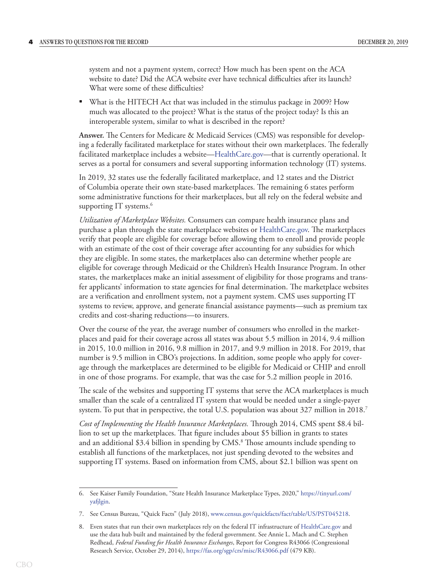system and not a payment system, correct? How much has been spent on the ACA website to date? Did the ACA website ever have technical difficulties after its launch? What were some of these difficulties?

• What is the HITECH Act that was included in the stimulus package in 2009? How much was allocated to the project? What is the status of the project today? Is this an interoperable system, similar to what is described in the report?

**Answer.** The Centers for Medicare & Medicaid Services (CMS) was responsible for developing a federally facilitated marketplace for states without their own marketplaces. The federally facilitated marketplace includes a website[—HealthCare.gov](http://HealthCare.gov)—that is currently operational. It serves as a portal for consumers and several supporting information technology (IT) systems.

In 2019, 32 states use the federally facilitated marketplace, and 12 states and the District of Columbia operate their own state-based marketplaces. The remaining 6 states perform some administrative functions for their marketplaces, but all rely on the federal website and supporting  $IT$  systems.<sup>6</sup>

*Utilization of Marketplace Websites.* Consumers can compare health insurance plans and purchase a plan through the state marketplace websites or [HealthCare.gov.](http://HealthCare.gov) The marketplaces verify that people are eligible for coverage before allowing them to enroll and provide people with an estimate of the cost of their coverage after accounting for any subsidies for which they are eligible. In some states, the marketplaces also can determine whether people are eligible for coverage through Medicaid or the Children's Health Insurance Program. In other states, the marketplaces make an initial assessment of eligibility for those programs and transfer applicants' information to state agencies for final determination. The marketplace websites are a verification and enrollment system, not a payment system. CMS uses supporting IT systems to review, approve, and generate financial assistance payments—such as premium tax credits and cost-sharing reductions—to insurers.

Over the course of the year, the average number of consumers who enrolled in the marketplaces and paid for their coverage across all states was about 5.5 million in 2014, 9.4 million in 2015, 10.0 million in 2016, 9.8 million in 2017, and 9.9 million in 2018. For 2019, that number is 9.5 million in CBO's projections. In addition, some people who apply for coverage through the marketplaces are determined to be eligible for Medicaid or CHIP and enroll in one of those programs. For example, that was the case for 5.2 million people in 2016.

The scale of the websites and supporting IT systems that serve the ACA marketplaces is much smaller than the scale of a centralized IT system that would be needed under a single-payer system. To put that in perspective, the total U.S. population was about 327 million in 2018.<sup>7</sup>

*Cost of Implementing the Health Insurance Marketplaces.* Through 2014, CMS spent \$8.4 billion to set up the marketplaces. That figure includes about \$5 billion in grants to states and an additional \$3.4 billion in spending by CMS.8 Those amounts include spending to establish all functions of the marketplaces, not just spending devoted to the websites and supporting IT systems. Based on information from CMS, about \$2.1 billion was spent on

<sup>6.</sup> See Kaiser Family Foundation, "State Health Insurance Marketplace Types, 2020," [https://tinyurl.com/](https://www.kff.org/health-reform/state-indicator/state-health-insurance-marketplace-types/?currentTimeframe=0&sortModel=%7B%22colId%22:%22Location%22,%22sort%22:%22asc%22%7D) [yafjlgin](https://www.kff.org/health-reform/state-indicator/state-health-insurance-marketplace-types/?currentTimeframe=0&sortModel=%7B%22colId%22:%22Location%22,%22sort%22:%22asc%22%7D).

<sup>7.</sup> See Census Bureau, "Quick Facts" (July 2018), [www.census.gov/quickfacts/fact/table/US/PST045218](https://www.census.gov/quickfacts/fact/table/US/PST045218).

<sup>8.</sup> Even states that run their own marketplaces rely on the federal IT infrastructure of [HealthCare.gov](http://HealthCare.gov) and use the data hub built and maintained by the federal government. See Annie L. Mach and C. Stephen Redhead, *Federal Funding for Health Insurance Exchanges*, Report for Congress R43066 (Congressional Research Service, October 29, 2014), <https://fas.org/sgp/crs/misc/R43066.pdf> (479 KB).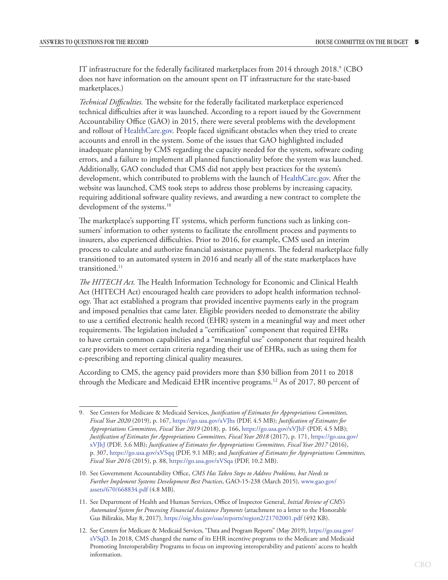IT infrastructure for the federally facilitated marketplaces from 2014 through 2018. $^{\circ}$  (CBO does not have information on the amount spent on IT infrastructure for the state-based marketplaces.)

*Technical Difficulties.* The website for the federally facilitated marketplace experienced technical difficulties after it was launched. According to a report issued by the Government Accountability Office (GAO) in 2015, there were several problems with the development and rollout of [HealthCare.gov](http://www.healthcare.gov). People faced significant obstacles when they tried to create accounts and enroll in the system. Some of the issues that GAO highlighted included inadequate planning by CMS regarding the capacity needed for the system, software coding errors, and a failure to implement all planned functionality before the system was launched. Additionally, GAO concluded that CMS did not apply best practices for the system's development, which contributed to problems with the launch of [HealthCare.gov.](http://www.healthcare.gov) After the website was launched, CMS took steps to address those problems by increasing capacity, requiring additional software quality reviews, and awarding a new contract to complete the development of the systems.<sup>10</sup>

The marketplace's supporting IT systems, which perform functions such as linking consumers' information to other systems to facilitate the enrollment process and payments to insurers, also experienced difficulties. Prior to 2016, for example, CMS used an interim process to calculate and authorize financial assistance payments. The federal marketplace fully transitioned to an automated system in 2016 and nearly all of the state marketplaces have transitioned.<sup>11</sup>

*The HITECH Act.* The Health Information Technology for Economic and Clinical Health Act (HITECH Act) encouraged health care providers to adopt health information technology. That act established a program that provided incentive payments early in the program and imposed penalties that came later. Eligible providers needed to demonstrate the ability to use a certified electronic health record (EHR) system in a meaningful way and meet other requirements. The legislation included a "certification" component that required EHRs to have certain common capabilities and a "meaningful use" component that required health care providers to meet certain criteria regarding their use of EHRs, such as using them for e-prescribing and reporting clinical quality measures.

According to CMS, the agency paid providers more than \$30 billion from 2011 to 2018 through the Medicare and Medicaid EHR incentive programs.<sup>12</sup> As of 2017, 80 percent of

<sup>9.</sup> See Centers for Medicare & Medicaid Services, *Justification of Estimates for Appropriations Committees, Fiscal Year 2020* (2019), p. 167, [https://go.usa.gov/xVJhs](https://www.cms.gov/About-CMS/Agency-Information/PerformanceBudget/FY2020-CJ-Final.pdf) (PDF, 4.5 MB); *Justification of Estimates for Appropriations Committees, Fiscal Year 2019* (2018), p. 166, [https://go.usa.gov/xVJhF](https://www.cms.gov/About-CMS/Agency-Information/PerformanceBudget/Downloads/FY2019-CJ-Final.pdf) (PDF, 4.5 MB); *Justification of Estimates for Appropriations Committees, Fiscal Year 2018* (2017), p. 171, [https://go.usa.gov/](https://www.cms.gov/About-CMS/Agency-Information/PerformanceBudget/Downloads/FY2018-CJ-Final.pdf) [xVJhJ](https://www.cms.gov/About-CMS/Agency-Information/PerformanceBudget/Downloads/FY2018-CJ-Final.pdf) (PDF, 3.6 MB); *Justification of Estimates for Appropriations Committees, Fiscal Year 2017* (2016), p. 307, [https://go.usa.gov/xVSqq](https://www.cms.gov/About-CMS/Agency-Information/PerformanceBudget/Downloads/FY2017-CJ-Final.pdf) (PDF, 9.1 MB); and *Justification of Estimates for Appropriations Committees, Fiscal Year 2016* (2015), p. 88,<https://go.usa.gov/xVSqa> (PDF, 10.2 MB).

<sup>10.</sup> See Government Accountability Office, *CMS Has Taken Steps to Address Problems, but Needs to Further Implement Systems Development Best Practices*, GAO-15-238 (March 2015), [www.gao.gov/](https://www.gao.gov/assets/670/668834.pdf) [assets/670/668834.pdf](https://www.gao.gov/assets/670/668834.pdf) (4.8 MB).

<sup>11.</sup> See Department of Health and Human Services, Office of Inspector General, *Initial Review of CMS's Automated System for Processing Financial Assistance Payments* (attachment to a letter to the Honorable Gus Bilirakis, May 8, 2017)*,* <https://oig.hhs.gov/oas/reports/region2/21702001.pdf> (492 KB).

<sup>12.</sup> See Centers for Medicare & Medicaid Services, "Data and Program Reports" (May 2019), [https://go.usa.gov/](https://www.cms.gov/regulations-and-guidance/legislation/ehrincentiveprograms/dataandreports.html) [xVSqD.](https://www.cms.gov/regulations-and-guidance/legislation/ehrincentiveprograms/dataandreports.html) In 2018, CMS changed the name of its EHR incentive programs to the Medicare and Medicaid Promoting Interoperability Programs to focus on improving interoperability and patients' access to health information.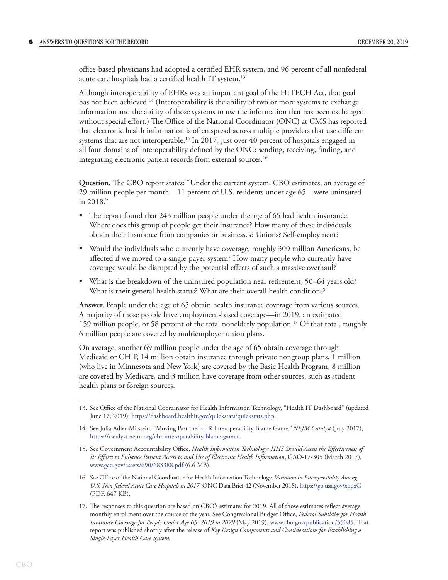office-based physicians had adopted a certified EHR system, and 96 percent of all nonfederal acute care hospitals had a certified health IT system.<sup>13</sup>

Although interoperability of EHRs was an important goal of the HITECH Act, that goal has not been achieved.<sup>14</sup> (Interoperability is the ability of two or more systems to exchange information and the ability of those systems to use the information that has been exchanged without special effort.) The Office of the National Coordinator (ONC) at CMS has reported that electronic health information is often spread across multiple providers that use different systems that are not interoperable.<sup>15</sup> In 2017, just over 40 percent of hospitals engaged in all four domains of interoperability defined by the ONC: sending, receiving, finding, and integrating electronic patient records from external sources.<sup>16</sup>

**Question.** The CBO report states: "Under the current system, CBO estimates, an average of 29 million people per month—11 percent of U.S. residents under age 65—were uninsured in 2018."

- The report found that 243 million people under the age of 65 had health insurance. Where does this group of people get their insurance? How many of these individuals obtain their insurance from companies or businesses? Unions? Self-employment?
- Would the individuals who currently have coverage, roughly 300 million Americans, be affected if we moved to a single-payer system? How many people who currently have coverage would be disrupted by the potential effects of such a massive overhaul?
- What is the breakdown of the uninsured population near retirement, 50–64 years old? What is their general health status? What are their overall health conditions?

**Answer.** People under the age of 65 obtain health insurance coverage from various sources. A majority of those people have employment-based coverage—in 2019, an estimated 159 million people, or 58 percent of the total nonelderly population.17 Of that total, roughly 6 million people are covered by multiemployer union plans.

On average, another 69 million people under the age of 65 obtain coverage through Medicaid or CHIP, 14 million obtain insurance through private nongroup plans, 1 million (who live in Minnesota and New York) are covered by the Basic Health Program, 8 million are covered by Medicare, and 3 million have coverage from other sources, such as student health plans or foreign sources.

<sup>13.</sup> See Office of the National Coordinator for Health Information Technology, "Health IT Dashboard" (updated June 17, 2019), [https://dashboard.healthit.gov/quickstats/quickstats.php.](https://dashboard.healthit.gov/quickstats/quickstats.php)

<sup>14.</sup> See Julia Adler-Milstein, "Moving Past the EHR Interoperability Blame Game,"*NEJM Catalyst* (July 2017), <https://catalyst.nejm.org/ehr-interoperability-blame-game/>.

<sup>15.</sup> See Government Accountability Office, *Health Information Technology: HHS Should Assess the Effectiveness of Its Efforts to Enhance Patient Access to and Use of Electronic Health Information*, GAO-17-305 (March 2017), [www.gao.gov/assets/690/683388.pdf](https://www.gao.gov/assets/690/683388.pdf) (6.6 MB).

<sup>16.</sup> See Office of the National Coordinator for Health Information Technology, *Variation in Interoperability Among U.S. Non-federal Acute Care Hospitals in 2017,* ONC Data Brief 42 (November 2018), [https://go.usa.gov/xppxG](https://www.healthit.gov/sites/default/files/page/2018-11/Interop%20variation_0.pdf) (PDF, 647 KB).

<sup>17.</sup> The responses to this question are based on CBO's estimates for 2019. All of those estimates reflect average monthly enrollment over the course of the year. See Congressional Budget Office, *Federal Subsidies for Health Insurance Coverage for People Under Age 65: 2019 to 2029* (May 2019), [www.cbo.gov/publication/55085](https://www.cbo.gov/publication/55085). That report was published shortly after the release of *Key Design Components and Considerations for Establishing a Single-Payer Health Care System.*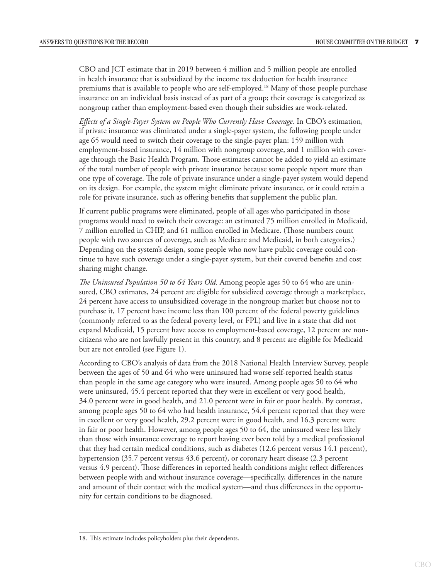CBO and JCT estimate that in 2019 between 4 million and 5 million people are enrolled in health insurance that is subsidized by the income tax deduction for health insurance premiums that is available to people who are self-employed.18 Many of those people purchase insurance on an individual basis instead of as part of a group; their coverage is categorized as nongroup rather than employment-based even though their subsidies are work-related.

*Effects of a Single-Payer System on People Who Currently Have Coverage.* In CBO's estimation, if private insurance was eliminated under a single-payer system, the following people under age 65 would need to switch their coverage to the single-payer plan: 159 million with employment-based insurance, 14 million with nongroup coverage, and 1 million with coverage through the Basic Health Program. Those estimates cannot be added to yield an estimate of the total number of people with private insurance because some people report more than one type of coverage. The role of private insurance under a single-payer system would depend on its design. For example, the system might eliminate private insurance, or it could retain a role for private insurance, such as offering benefits that supplement the public plan.

If current public programs were eliminated, people of all ages who participated in those programs would need to switch their coverage: an estimated 75 million enrolled in Medicaid, 7 million enrolled in CHIP, and 61 million enrolled in Medicare. (Those numbers count people with two sources of coverage, such as Medicare and Medicaid, in both categories.) Depending on the system's design, some people who now have public coverage could continue to have such coverage under a single-payer system, but their covered benefits and cost sharing might change.

*The Uninsured Population 50 to 64 Years Old.* Among people ages 50 to 64 who are uninsured, CBO estimates, 24 percent are eligible for subsidized coverage through a marketplace, 24 percent have access to unsubsidized coverage in the nongroup market but choose not to purchase it, 17 percent have income less than 100 percent of the federal poverty guidelines (commonly referred to as the federal poverty level, or FPL) and live in a state that did not expand Medicaid, 15 percent have access to employment-based coverage, 12 percent are noncitizens who are not lawfully present in this country, and 8 percent are eligible for Medicaid but are not enrolled (see [Figure 1](#page-7-0)).

According to CBO's analysis of data from the 2018 National Health Interview Survey, people between the ages of 50 and 64 who were uninsured had worse self-reported health status than people in the same age category who were insured. Among people ages 50 to 64 who were uninsured, 45.4 percent reported that they were in excellent or very good health, 34.0 percent were in good health, and 21.0 percent were in fair or poor health. By contrast, among people ages 50 to 64 who had health insurance, 54.4 percent reported that they were in excellent or very good health, 29.2 percent were in good health, and 16.3 percent were in fair or poor health. However, among people ages 50 to 64, the uninsured were less likely than those with insurance coverage to report having ever been told by a medical professional that they had certain medical conditions, such as diabetes (12.6 percent versus 14.1 percent), hypertension (35.7 percent versus 43.6 percent), or coronary heart disease (2.3 percent versus 4.9 percent). Those differences in reported health conditions might reflect differences between people with and without insurance coverage—specifically, differences in the nature and amount of their contact with the medical system—and thus differences in the opportunity for certain conditions to be diagnosed.

<sup>18.</sup> This estimate includes policyholders plus their dependents.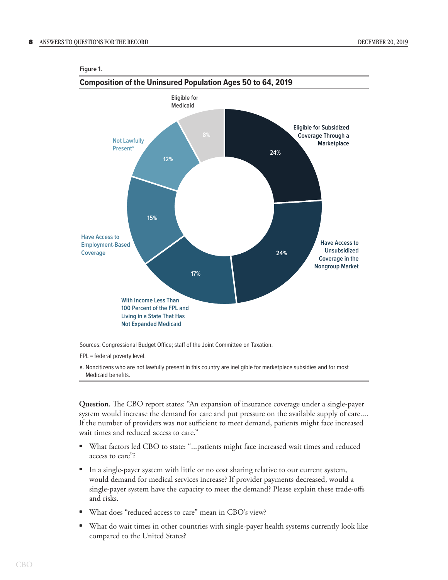## **Composition of the Uninsured Population Ages 50 to 64, 2019 24% 24% 17% 15% 12% With Income Less Than 100 Percent of the FPL and Living in a State That Has Not Expanded Medicaid Eligible for Subsidized Coverage Through a Marketplace Have Access to Unsubsidized Coverage in the Nongroup Market Have Access to Employment-Based Coverage Not Lawfully Presenta Eligible for Medicaid**

#### <span id="page-7-0"></span>**Figure 1.**

Sources: Congressional Budget Office; staff of the Joint Committee on Taxation.

FPL = federal poverty level.

a. Noncitizens who are not lawfully present in this country are ineligible for marketplace subsidies and for most Medicaid benefits.

**Question.** The CBO report states: "An expansion of insurance coverage under a single-payer system would increase the demand for care and put pressure on the available supply of care.... If the number of providers was not sufficient to meet demand, patients might face increased wait times and reduced access to care."

- What factors led CBO to state: "...patients might face increased wait times and reduced access to care"?
- In a single-payer system with little or no cost sharing relative to our current system, would demand for medical services increase? If provider payments decreased, would a single-payer system have the capacity to meet the demand? Please explain these trade-offs and risks.
- What does "reduced access to care" mean in CBO's view?
- What do wait times in other countries with single-payer health systems currently look like compared to the United States?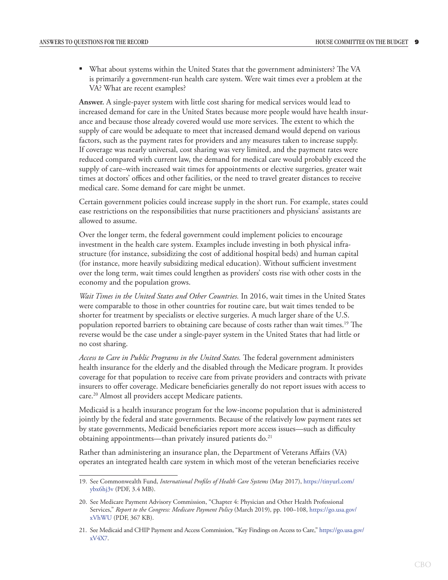• What about systems within the United States that the government administers? The VA is primarily a government-run health care system. Were wait times ever a problem at the VA? What are recent examples?

**Answer.** A single-payer system with little cost sharing for medical services would lead to increased demand for care in the United States because more people would have health insurance and because those already covered would use more services. The extent to which the supply of care would be adequate to meet that increased demand would depend on various factors, such as the payment rates for providers and any measures taken to increase supply. If coverage was nearly universal, cost sharing was very limited, and the payment rates were reduced compared with current law, the demand for medical care would probably exceed the supply of care–with increased wait times for appointments or elective surgeries, greater wait times at doctors' offices and other facilities, or the need to travel greater distances to receive medical care. Some demand for care might be unmet.

Certain government policies could increase supply in the short run. For example, states could ease restrictions on the responsibilities that nurse practitioners and physicians' assistants are allowed to assume.

Over the longer term, the federal government could implement policies to encourage investment in the health care system. Examples include investing in both physical infrastructure (for instance, subsidizing the cost of additional hospital beds) and human capital (for instance, more heavily subsidizing medical education). Without sufficient investment over the long term, wait times could lengthen as providers' costs rise with other costs in the economy and the population grows.

*Wait Times in the United States and Other Countries.* In 2016, wait times in the United States were comparable to those in other countries for routine care, but wait times tended to be shorter for treatment by specialists or elective surgeries. A much larger share of the U.S. population reported barriers to obtaining care because of costs rather than wait times.<sup>19</sup> The reverse would be the case under a single-payer system in the United States that had little or no cost sharing.

*Access to Care in Public Programs in the United States.* The federal government administers health insurance for the elderly and the disabled through the Medicare program. It provides coverage for that population to receive care from private providers and contracts with private insurers to offer coverage. Medicare beneficiaries generally do not report issues with access to care.20 Almost all providers accept Medicare patients.

Medicaid is a health insurance program for the low-income population that is administered jointly by the federal and state governments. Because of the relatively low payment rates set by state governments, Medicaid beneficiaries report more access issues—such as difficulty obtaining appointments—than privately insured patients do.<sup>21</sup>

Rather than administering an insurance plan, the Department of Veterans Affairs (VA) operates an integrated health care system in which most of the veteran beneficiaries receive

<sup>19.</sup> See Commonwealth Fund, *International Profiles of Health Care Systems* (May 2017), [https://tinyurl.com/](https://tinyurl.com/ybx6hj3v) [ybx6hj3v](https://tinyurl.com/ybx6hj3v) (PDF, 3.4 MB).

<sup>20.</sup> See Medicare Payment Advisory Commission, "Chapter 4: Physician and Other Health Professional Services," *Report to the Congress: Medicare Payment Policy* (March 2019), pp. 100–108, [https://go.usa.gov/](http://www.medpac.gov/docs/default-source/reports/mar19_medpac_ch4_sec.pdf?sfvrsn=0) [xVhWU](http://www.medpac.gov/docs/default-source/reports/mar19_medpac_ch4_sec.pdf?sfvrsn=0) (PDF, 367 KB).

<sup>21.</sup> See Medicaid and CHIP Payment and Access Commission, "Key Findings on Access to Care," [https://go.usa.gov/](https://go.usa.gov/xV4X7) [xV4X7.](https://go.usa.gov/xV4X7)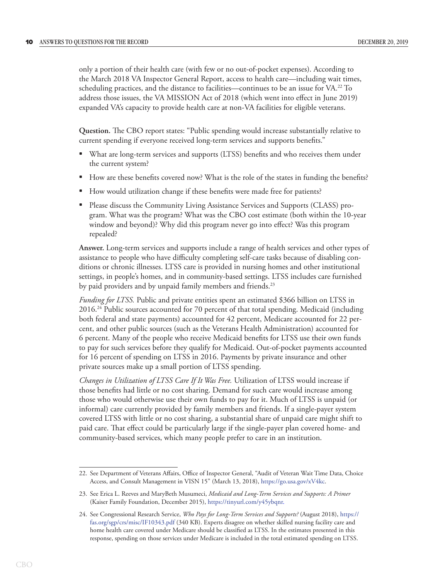only a portion of their health care (with few or no out-of-pocket expenses). According to the March 2018 VA Inspector General Report, access to health care—including wait times, scheduling practices, and the distance to facilities—continues to be an issue for VA.<sup>22</sup> To address those issues, the VA MISSION Act of 2018 (which went into effect in June 2019) expanded VA's capacity to provide health care at non-VA facilities for eligible veterans.

**Question.** The CBO report states: "Public spending would increase substantially relative to current spending if everyone received long-term services and supports benefits."

- What are long-term services and supports (LTSS) benefits and who receives them under the current system?
- How are these benefits covered now? What is the role of the states in funding the benefits?
- How would utilization change if these benefits were made free for patients?
- Please discuss the Community Living Assistance Services and Supports (CLASS) program. What was the program? What was the CBO cost estimate (both within the 10-year window and beyond)? Why did this program never go into effect? Was this program repealed?

**Answer.** Long-term services and supports include a range of health services and other types of assistance to people who have difficulty completing self-care tasks because of disabling conditions or chronic illnesses. LTSS care is provided in nursing homes and other institutional settings, in people's homes, and in community-based settings. LTSS includes care furnished by paid providers and by unpaid family members and friends.<sup>23</sup>

*Funding for LTSS.* Public and private entities spent an estimated \$366 billion on LTSS in 2016.24 Public sources accounted for 70 percent of that total spending. Medicaid (including both federal and state payments) accounted for 42 percent, Medicare accounted for 22 percent, and other public sources (such as the Veterans Health Administration) accounted for 6 percent. Many of the people who receive Medicaid benefits for LTSS use their own funds to pay for such services before they qualify for Medicaid. Out-of-pocket payments accounted for 16 percent of spending on LTSS in 2016. Payments by private insurance and other private sources make up a small portion of LTSS spending.

*Changes in Utilization of LTSS Care If It Was Free.* Utilization of LTSS would increase if those benefits had little or no cost sharing. Demand for such care would increase among those who would otherwise use their own funds to pay for it. Much of LTSS is unpaid (or informal) care currently provided by family members and friends. If a single-payer system covered LTSS with little or no cost sharing, a substantial share of unpaid care might shift to paid care. That effect could be particularly large if the single-payer plan covered home- and community-based services, which many people prefer to care in an institution.

<sup>22.</sup> See Department of Veterans Affairs, Office of Inspector General, "Audit of Veteran Wait Time Data, Choice Access, and Consult Management in VISN 15" (March 13, 2018), [https://go.usa.gov/xV4kc.](https://go.usa.gov/xV4kc)

<sup>23.</sup> See Erica L. Reeves and MaryBeth Musumeci, *Medicaid and Long-Term Services and Supports: A Primer*  (Kaiser Family Foundation, December 2015), [https://tinyurl.com/y45ybqnr.](https://www.kff.org/medicaid/report/medicaid-and-long-term-services-and-supports-a-primer/)

<sup>24.</sup> See Congressional Research Service, *Who Pays for Long-Term Services and Supports?* (August 2018), [https://](https://fas.org/sgp/crs/misc/IF10343.pdf) [fas.org/sgp/crs/misc/IF10343.pdf](https://fas.org/sgp/crs/misc/IF10343.pdf) (340 KB). Experts disagree on whether skilled nursing facility care and home health care covered under Medicare should be classified as LTSS. In the estimates presented in this response, spending on those services under Medicare is included in the total estimated spending on LTSS.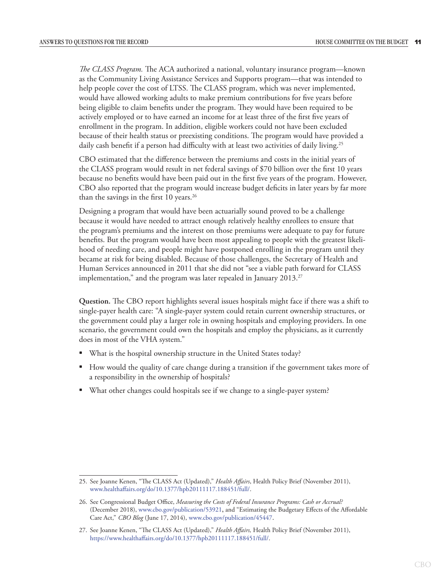*The CLASS Program.* The ACA authorized a national, voluntary insurance program—known as the Community Living Assistance Services and Supports program—that was intended to help people cover the cost of LTSS. The CLASS program, which was never implemented, would have allowed working adults to make premium contributions for five years before being eligible to claim benefits under the program. They would have been required to be actively employed or to have earned an income for at least three of the first five years of enrollment in the program. In addition, eligible workers could not have been excluded because of their health status or preexisting conditions. The program would have provided a daily cash benefit if a person had difficulty with at least two activities of daily living.<sup>25</sup>

CBO estimated that the difference between the premiums and costs in the initial years of the CLASS program would result in net federal savings of \$70 billion over the first 10 years because no benefits would have been paid out in the first five years of the program. However, CBO also reported that the program would increase budget deficits in later years by far more than the savings in the first 10 years.<sup>26</sup>

Designing a program that would have been actuarially sound proved to be a challenge because it would have needed to attract enough relatively healthy enrollees to ensure that the program's premiums and the interest on those premiums were adequate to pay for future benefits. But the program would have been most appealing to people with the greatest likelihood of needing care, and people might have postponed enrolling in the program until they became at risk for being disabled. Because of those challenges, the Secretary of Health and Human Services announced in 2011 that she did not "see a viable path forward for CLASS implementation," and the program was later repealed in January  $2013.^{27}$ 

**Question.** The CBO report highlights several issues hospitals might face if there was a shift to single-payer health care: "A single-payer system could retain current ownership structures, or the government could play a larger role in owning hospitals and employing providers. In one scenario, the government could own the hospitals and employ the physicians, as it currently does in most of the VHA system."

- What is the hospital ownership structure in the United States today?
- How would the quality of care change during a transition if the government takes more of a responsibility in the ownership of hospitals?
- What other changes could hospitals see if we change to a single-payer system?

<sup>25.</sup> See Joanne Kenen, "The CLASS Act (Updated)," *Health Affairs*, Health Policy Brief (November 2011), [www.healthaffairs.org/do/10.1377/hpb20111117.188451/full/.](http://www.healthaffairs.org/do/10.1377/hpb20111117.188451/full/.)

<sup>26.</sup> See Congressional Budget Office, *Measuring the Costs of Federal Insurance Programs: Cash or Accrual?*  (December 2018), [www.cbo.gov/publication/53921](https://www.cbo.gov/publication/53921), and "Estimating the Budgetary Effects of the Affordable Care Act," *CBO Blog* (June 17, 2014), [www.cbo.gov/publication/45447](https://www.cbo.gov/publication/45447).

<sup>27.</sup> See Joanne Kenen, "The CLASS Act (Updated)," *Health Affairs,* Health Policy Brief (November 2011), <https://www.healthaffairs.org/do/10.1377/hpb20111117.188451/full/>.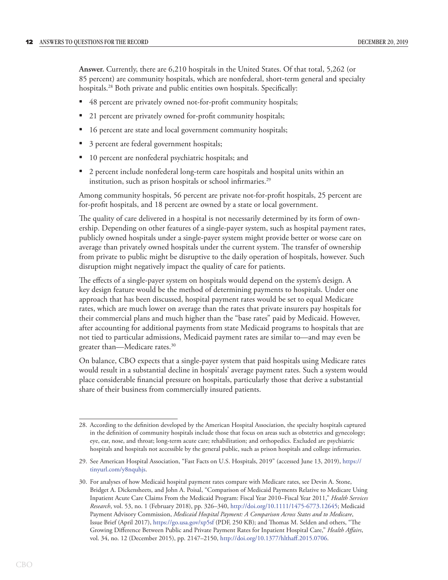**Answer.** Currently, there are 6,210 hospitals in the United States. Of that total, 5,262 (or 85 percent) are community hospitals, which are nonfederal, short-term general and specialty hospitals.<sup>28</sup> Both private and public entities own hospitals. Specifically:

- 48 percent are privately owned not-for-profit community hospitals;
- 21 percent are privately owned for-profit community hospitals;
- 16 percent are state and local government community hospitals;
- 3 percent are federal government hospitals;
- 10 percent are nonfederal psychiatric hospitals; and
- 2 percent include nonfederal long-term care hospitals and hospital units within an institution, such as prison hospitals or school infirmaries.<sup>29</sup>

Among community hospitals, 56 percent are private not-for-profit hospitals, 25 percent are for-profit hospitals, and 18 percent are owned by a state or local government.

The quality of care delivered in a hospital is not necessarily determined by its form of ownership. Depending on other features of a single-payer system, such as hospital payment rates, publicly owned hospitals under a single-payer system might provide better or worse care on average than privately owned hospitals under the current system. The transfer of ownership from private to public might be disruptive to the daily operation of hospitals, however. Such disruption might negatively impact the quality of care for patients.

The effects of a single-payer system on hospitals would depend on the system's design. A key design feature would be the method of determining payments to hospitals. Under one approach that has been discussed, hospital payment rates would be set to equal Medicare rates, which are much lower on average than the rates that private insurers pay hospitals for their commercial plans and much higher than the "base rates" paid by Medicaid. However, after accounting for additional payments from state Medicaid programs to hospitals that are not tied to particular admissions, Medicaid payment rates are similar to—and may even be greater than—Medicare rates.<sup>30</sup>

On balance, CBO expects that a single-payer system that paid hospitals using Medicare rates would result in a substantial decline in hospitals' average payment rates. Such a system would place considerable financial pressure on hospitals, particularly those that derive a substantial share of their business from commercially insured patients.

<sup>28.</sup> According to the definition developed by the American Hospital Association, the specialty hospitals captured in the definition of community hospitals include those that focus on areas such as obstetrics and gynecology; eye, ear, nose, and throat; long-term acute care; rehabilitation; and orthopedics. Excluded are psychiatric hospitals and hospitals not accessible by the general public, such as prison hospitals and college infirmaries.

<sup>29.</sup> See American Hospital Association, "Fast Facts on U.S. Hospitals, 2019" (accessed June 13, 2019), [https://](https://tinyurl.com/y8nquhjs) [tinyurl.com/y8nquhjs.](https://tinyurl.com/y8nquhjs)

<sup>30.</sup> For analyses of how Medicaid hospital payment rates compare with Medicare rates, see Devin A. Stone, Bridget A. Dickensheets, and John A. Poisal, "Comparison of Medicaid Payments Relative to Medicare Using Inpatient Acute Care Claims From the Medicaid Program: Fiscal Year 2010–Fiscal Year 2011," *Health Services Research*, vol. 53, no. 1 (February 2018), pp. 326–340, [http://doi.org/10.1111/1475-6773.12645;](http://doi.org/10.1111/1475-6773.12645) Medicaid Payment Advisory Commission, *Medicaid Hospital Payment: A Comparison Across States and to Medicare*, Issue Brief (April 2017), [https://go.usa.gov/xp5sf](https://www.macpac.gov/wp-content/uploads/2017/04/Medicaid-Hospital-Payment-A-Comparison-across-States-and-to-Medicare.pdf) (PDF, 250 KB); and Thomas M. Selden and others, "The Growing Difference Between Public and Private Payment Rates for Inpatient Hospital Care," *Health Affairs*, vol. 34, no. 12 (December 2015), pp. 2147–2150, <http://doi.org/10.1377/hlthaff.2015.0706>.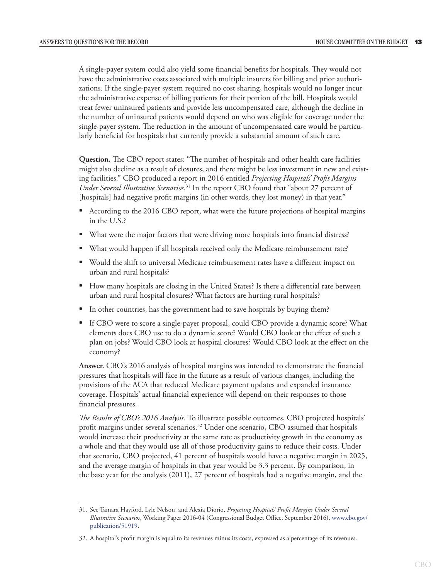A single-payer system could also yield some financial benefits for hospitals. They would not have the administrative costs associated with multiple insurers for billing and prior authorizations. If the single-payer system required no cost sharing, hospitals would no longer incur the administrative expense of billing patients for their portion of the bill. Hospitals would treat fewer uninsured patients and provide less uncompensated care, although the decline in the number of uninsured patients would depend on who was eligible for coverage under the single-payer system. The reduction in the amount of uncompensated care would be particularly beneficial for hospitals that currently provide a substantial amount of such care.

**Question.** The CBO report states: "The number of hospitals and other health care facilities might also decline as a result of closures, and there might be less investment in new and existing facilities." CBO produced a report in 2016 entitled *Projecting Hospitals' Profit Margins Under Several Illustrative Scenarios*. 31 In the report CBO found that "about 27 percent of [hospitals] had negative profit margins (in other words, they lost money) in that year."

- According to the 2016 CBO report, what were the future projections of hospital margins in the U.S.?
- What were the major factors that were driving more hospitals into financial distress?
- What would happen if all hospitals received only the Medicare reimbursement rate?
- Would the shift to universal Medicare reimbursement rates have a different impact on urban and rural hospitals?
- How many hospitals are closing in the United States? Is there a differential rate between urban and rural hospital closures? What factors are hurting rural hospitals?
- In other countries, has the government had to save hospitals by buying them?
- If CBO were to score a single-payer proposal, could CBO provide a dynamic score? What elements does CBO use to do a dynamic score? Would CBO look at the effect of such a plan on jobs? Would CBO look at hospital closures? Would CBO look at the effect on the economy?

**Answer.** CBO's 2016 analysis of hospital margins was intended to demonstrate the financial pressures that hospitals will face in the future as a result of various changes, including the provisions of the ACA that reduced Medicare payment updates and expanded insurance coverage. Hospitals' actual financial experience will depend on their responses to those financial pressures.

*The Results of CBO's 2016 Analysis.* To illustrate possible outcomes, CBO projected hospitals' profit margins under several scenarios.32 Under one scenario, CBO assumed that hospitals would increase their productivity at the same rate as productivity growth in the economy as a whole and that they would use all of those productivity gains to reduce their costs. Under that scenario, CBO projected, 41 percent of hospitals would have a negative margin in 2025, and the average margin of hospitals in that year would be 3.3 percent. By comparison, in the base year for the analysis (2011), 27 percent of hospitals had a negative margin, and the

<sup>31.</sup> See Tamara Hayford, Lyle Nelson, and Alexia Diorio, *Projecting Hospitals' Profit Margins Under Several Illustrative Scenarios*, Working Paper 2016-04 (Congressional Budget Office, September 2016), [www.cbo.gov/](https://www.cbo.gov/publication/51919) [publication/51919](https://www.cbo.gov/publication/51919).

<sup>32.</sup> A hospital's profit margin is equal to its revenues minus its costs, expressed as a percentage of its revenues.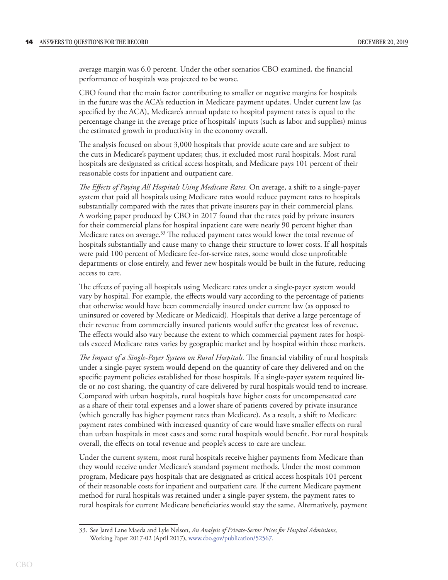average margin was 6.0 percent. Under the other scenarios CBO examined, the financial performance of hospitals was projected to be worse.

CBO found that the main factor contributing to smaller or negative margins for hospitals in the future was the ACA's reduction in Medicare payment updates. Under current law (as specified by the ACA), Medicare's annual update to hospital payment rates is equal to the percentage change in the average price of hospitals' inputs (such as labor and supplies) minus the estimated growth in productivity in the economy overall.

The analysis focused on about 3,000 hospitals that provide acute care and are subject to the cuts in Medicare's payment updates; thus, it excluded most rural hospitals. Most rural hospitals are designated as critical access hospitals, and Medicare pays 101 percent of their reasonable costs for inpatient and outpatient care.

*The Effects of Paying All Hospitals Using Medicare Rates.* On average, a shift to a single-payer system that paid all hospitals using Medicare rates would reduce payment rates to hospitals substantially compared with the rates that private insurers pay in their commercial plans. A working paper produced by CBO in 2017 found that the rates paid by private insurers for their commercial plans for hospital inpatient care were nearly 90 percent higher than Medicare rates on average.<sup>33</sup> The reduced payment rates would lower the total revenue of hospitals substantially and cause many to change their structure to lower costs. If all hospitals were paid 100 percent of Medicare fee-for-service rates, some would close unprofitable departments or close entirely, and fewer new hospitals would be built in the future, reducing access to care.

The effects of paying all hospitals using Medicare rates under a single-payer system would vary by hospital. For example, the effects would vary according to the percentage of patients that otherwise would have been commercially insured under current law (as opposed to uninsured or covered by Medicare or Medicaid). Hospitals that derive a large percentage of their revenue from commercially insured patients would suffer the greatest loss of revenue. The effects would also vary because the extent to which commercial payment rates for hospitals exceed Medicare rates varies by geographic market and by hospital within those markets.

*The Impact of a Single-Payer System on Rural Hospitals.* The financial viability of rural hospitals under a single-payer system would depend on the quantity of care they delivered and on the specific payment policies established for those hospitals. If a single-payer system required little or no cost sharing, the quantity of care delivered by rural hospitals would tend to increase. Compared with urban hospitals, rural hospitals have higher costs for uncompensated care as a share of their total expenses and a lower share of patients covered by private insurance (which generally has higher payment rates than Medicare). As a result, a shift to Medicare payment rates combined with increased quantity of care would have smaller effects on rural than urban hospitals in most cases and some rural hospitals would benefit. For rural hospitals overall, the effects on total revenue and people's access to care are unclear.

Under the current system, most rural hospitals receive higher payments from Medicare than they would receive under Medicare's standard payment methods. Under the most common program, Medicare pays hospitals that are designated as critical access hospitals 101 percent of their reasonable costs for inpatient and outpatient care. If the current Medicare payment method for rural hospitals was retained under a single-payer system, the payment rates to rural hospitals for current Medicare beneficiaries would stay the same. Alternatively, payment

<sup>33.</sup> See Jared Lane Maeda and Lyle Nelson, *An Analysis of Private-Sector Prices for Hospital Admissions*, Working Paper 2017-02 (April 2017), [www.cbo.gov/publication/52567.](https://www.cbo.gov/publication/52567)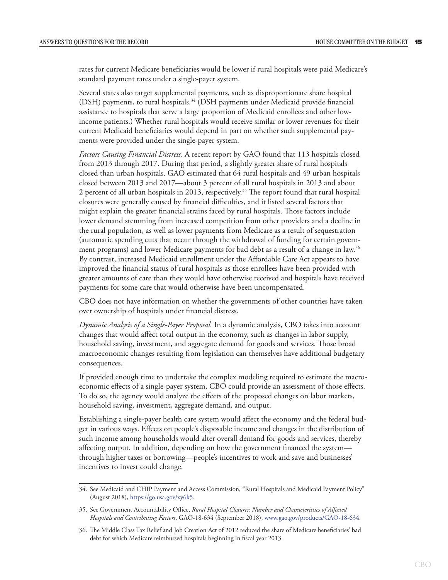rates for current Medicare beneficiaries would be lower if rural hospitals were paid Medicare's standard payment rates under a single-payer system.

Several states also target supplemental payments, such as disproportionate share hospital (DSH) payments, to rural hospitals.34 (DSH payments under Medicaid provide financial assistance to hospitals that serve a large proportion of Medicaid enrollees and other lowincome patients.) Whether rural hospitals would receive similar or lower revenues for their current Medicaid beneficiaries would depend in part on whether such supplemental payments were provided under the single-payer system.

*Factors Causing Financial Distress.* A recent report by GAO found that 113 hospitals closed from 2013 through 2017. During that period, a slightly greater share of rural hospitals closed than urban hospitals. GAO estimated that 64 rural hospitals and 49 urban hospitals closed between 2013 and 2017—about 3 percent of all rural hospitals in 2013 and about 2 percent of all urban hospitals in 2013, respectively.<sup>35</sup> The report found that rural hospital closures were generally caused by financial difficulties, and it listed several factors that might explain the greater financial strains faced by rural hospitals. Those factors include lower demand stemming from increased competition from other providers and a decline in the rural population, as well as lower payments from Medicare as a result of sequestration (automatic spending cuts that occur through the withdrawal of funding for certain government programs) and lower Medicare payments for bad debt as a result of a change in law.36 By contrast, increased Medicaid enrollment under the Affordable Care Act appears to have improved the financial status of rural hospitals as those enrollees have been provided with greater amounts of care than they would have otherwise received and hospitals have received payments for some care that would otherwise have been uncompensated.

CBO does not have information on whether the governments of other countries have taken over ownership of hospitals under financial distress.

*Dynamic Analysis of a Single-Payer Proposal.* In a dynamic analysis, CBO takes into account changes that would affect total output in the economy, such as changes in labor supply, household saving, investment, and aggregate demand for goods and services. Those broad macroeconomic changes resulting from legislation can themselves have additional budgetary consequences.

If provided enough time to undertake the complex modeling required to estimate the macroeconomic effects of a single-payer system, CBO could provide an assessment of those effects. To do so, the agency would analyze the effects of the proposed changes on labor markets, household saving, investment, aggregate demand, and output.

Establishing a single-payer health care system would affect the economy and the federal budget in various ways. Effects on people's disposable income and changes in the distribution of such income among households would alter overall demand for goods and services, thereby affecting output. In addition, depending on how the government financed the system through higher taxes or borrowing—people's incentives to work and save and businesses' incentives to invest could change.

<sup>34.</sup> See Medicaid and CHIP Payment and Access Commission, "Rural Hospitals and Medicaid Payment Policy" (August 2018), [https://go.usa.gov/xy6k5.](https://go.usa.gov/xy6k5)

<sup>35.</sup> See Government Accountability Office, *Rural Hospital Closures: Number and Characteristics of Affected Hospitals and Contributing Factors*, GAO-18-634 (September 2018), [www.gao.gov/products/GAO-18-634](https://www.gao.gov/products/GAO-18-634).

<sup>36.</sup> The Middle Class Tax Relief and Job Creation Act of 2012 reduced the share of Medicare beneficiaries' bad debt for which Medicare reimbursed hospitals beginning in fiscal year 2013.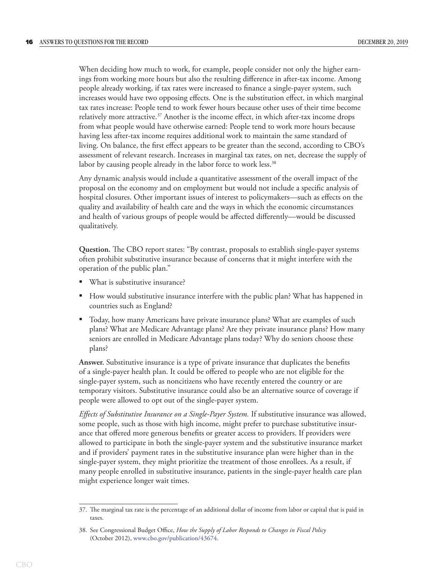When deciding how much to work, for example, people consider not only the higher earnings from working more hours but also the resulting difference in after-tax income. Among people already working, if tax rates were increased to finance a single-payer system, such increases would have two opposing effects. One is the substitution effect, in which marginal tax rates increase: People tend to work fewer hours because other uses of their time become relatively more attractive.<sup>37</sup> Another is the income effect, in which after-tax income drops from what people would have otherwise earned: People tend to work more hours because having less after-tax income requires additional work to maintain the same standard of living. On balance, the first effect appears to be greater than the second, according to CBO's assessment of relevant research. Increases in marginal tax rates, on net, decrease the supply of labor by causing people already in the labor force to work less.<sup>38</sup>

Any dynamic analysis would include a quantitative assessment of the overall impact of the proposal on the economy and on employment but would not include a specific analysis of hospital closures. Other important issues of interest to policymakers—such as effects on the quality and availability of health care and the ways in which the economic circumstances and health of various groups of people would be affected differently—would be discussed qualitatively.

**Question.** The CBO report states: "By contrast, proposals to establish single-payer systems often prohibit substitutive insurance because of concerns that it might interfere with the operation of the public plan."

- What is substitutive insurance?
- How would substitutive insurance interfere with the public plan? What has happened in countries such as England?
- Today, how many Americans have private insurance plans? What are examples of such plans? What are Medicare Advantage plans? Are they private insurance plans? How many seniors are enrolled in Medicare Advantage plans today? Why do seniors choose these plans?

**Answer.** Substitutive insurance is a type of private insurance that duplicates the benefits of a single-payer health plan. It could be offered to people who are not eligible for the single-payer system, such as noncitizens who have recently entered the country or are temporary visitors. Substitutive insurance could also be an alternative source of coverage if people were allowed to opt out of the single-payer system.

*Effects of Substitutive Insurance on a Single-Payer System.* If substitutive insurance was allowed, some people, such as those with high income, might prefer to purchase substitutive insurance that offered more generous benefits or greater access to providers. If providers were allowed to participate in both the single-payer system and the substitutive insurance market and if providers' payment rates in the substitutive insurance plan were higher than in the single-payer system, they might prioritize the treatment of those enrollees. As a result, if many people enrolled in substitutive insurance, patients in the single-payer health care plan might experience longer wait times.

<sup>37.</sup> The marginal tax rate is the percentage of an additional dollar of income from labor or capital that is paid in taxes.

<sup>38.</sup> See Congressional Budget Office, *How the Supply of Labor Responds to Changes in Fiscal Policy*  (October 2012), [www.cbo.gov/publication/43674.](http://www.cbo.gov/publication/43674)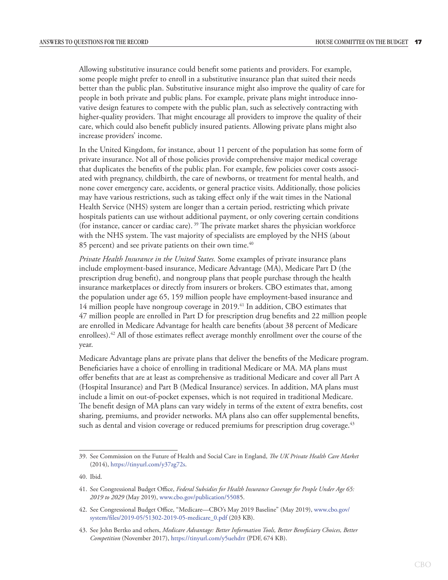Allowing substitutive insurance could benefit some patients and providers. For example, some people might prefer to enroll in a substitutive insurance plan that suited their needs better than the public plan. Substitutive insurance might also improve the quality of care for people in both private and public plans. For example, private plans might introduce innovative design features to compete with the public plan, such as selectively contracting with higher-quality providers. That might encourage all providers to improve the quality of their care, which could also benefit publicly insured patients. Allowing private plans might also increase providers' income.

In the United Kingdom, for instance, about 11 percent of the population has some form of private insurance. Not all of those policies provide comprehensive major medical coverage that duplicates the benefits of the public plan. For example, few policies cover costs associated with pregnancy, childbirth, the care of newborns, or treatment for mental health, and none cover emergency care, accidents, or general practice visits. Additionally, those policies may have various restrictions, such as taking effect only if the wait times in the National Health Service (NHS) system are longer than a certain period, restricting which private hospitals patients can use without additional payment, or only covering certain conditions (for instance, cancer or cardiac care). 39 The private market shares the physician workforce with the NHS system. The vast majority of specialists are employed by the NHS (about 85 percent) and see private patients on their own time.<sup>40</sup>

*Private Health Insurance in the United States.* Some examples of private insurance plans include employment-based insurance, Medicare Advantage (MA), Medicare Part D (the prescription drug benefit), and nongroup plans that people purchase through the health insurance marketplaces or directly from insurers or brokers. CBO estimates that, among the population under age 65, 159 million people have employment-based insurance and 14 million people have nongroup coverage in 2019.<sup>41</sup> In addition, CBO estimates that 47 million people are enrolled in Part D for prescription drug benefits and 22 million people are enrolled in Medicare Advantage for health care benefits (about 38 percent of Medicare enrollees).<sup>42</sup> All of those estimates reflect average monthly enrollment over the course of the year.

Medicare Advantage plans are private plans that deliver the benefits of the Medicare program. Beneficiaries have a choice of enrolling in traditional Medicare or MA. MA plans must offer benefits that are at least as comprehensive as traditional Medicare and cover all Part A (Hospital Insurance) and Part B (Medical Insurance) services. In addition, MA plans must include a limit on out-of-pocket expenses, which is not required in traditional Medicare. The benefit design of MA plans can vary widely in terms of the extent of extra benefits, cost sharing, premiums, and provider networks. MA plans also can offer supplemental benefits, such as dental and vision coverage or reduced premiums for prescription drug coverage.<sup>43</sup>

<sup>39.</sup> See Commission on the Future of Health and Social Care in England, *The UK Private Health Care Market*  (2014), <https://tinyurl.com/y37zg72s>.

<sup>40.</sup> Ibid.

<sup>41.</sup> See Congressional Budget Office, *Federal Subsidies for Health Insurance Coverage for People Under Age 65: 2019 to 2029* (May 2019), [www.cbo.gov/publication/55085](http://www.cbo.gov/publication/55085).

<sup>42.</sup> See Congressional Budget Office, "Medicare—CBO's May 2019 Baseline" (May 2019), [www.cbo.gov/](https://www.cbo.gov/system/files/2019-05/51302-2019-05-medicare_0.pdf) [system/files/2019-05/51302-2019-05-medicare\\_0.pdf](https://www.cbo.gov/system/files/2019-05/51302-2019-05-medicare_0.pdf) (203 KB).

<sup>43.</sup> See John Bertko and others, *Medicare Advantage: Better Information Tools, Better Beneficiary Choices, Better Competition* (November 2017), [https://tinyurl.com/y5uehdrr](https://www.brookings.edu/wp-content/uploads/2017/11/ma-consumer-reforms.pdf) (PDF, 674 KB).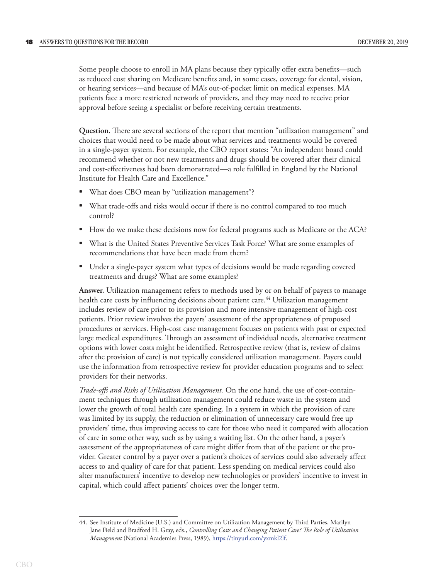Some people choose to enroll in MA plans because they typically offer extra benefits—such as reduced cost sharing on Medicare benefits and, in some cases, coverage for dental, vision, or hearing services—and because of MA's out-of-pocket limit on medical expenses. MA patients face a more restricted network of providers, and they may need to receive prior approval before seeing a specialist or before receiving certain treatments.

**Question.** There are several sections of the report that mention "utilization management" and choices that would need to be made about what services and treatments would be covered in a single-payer system. For example, the CBO report states: "An independent board could recommend whether or not new treatments and drugs should be covered after their clinical and cost-effectiveness had been demonstrated—a role fulfilled in England by the National Institute for Health Care and Excellence."

- What does CBO mean by "utilization management"?
- What trade-offs and risks would occur if there is no control compared to too much control?
- How do we make these decisions now for federal programs such as Medicare or the ACA?
- What is the United States Preventive Services Task Force? What are some examples of recommendations that have been made from them?
- Under a single-payer system what types of decisions would be made regarding covered treatments and drugs? What are some examples?

**Answer.** Utilization management refers to methods used by or on behalf of payers to manage health care costs by influencing decisions about patient care.<sup>44</sup> Utilization management includes review of care prior to its provision and more intensive management of high-cost patients. Prior review involves the payers' assessment of the appropriateness of proposed procedures or services. High-cost case management focuses on patients with past or expected large medical expenditures. Through an assessment of individual needs, alternative treatment options with lower costs might be identified. Retrospective review (that is, review of claims after the provision of care) is not typically considered utilization management. Payers could use the information from retrospective review for provider education programs and to select providers for their networks.

*Trade-offs and Risks of Utilization Management.* On the one hand, the use of cost-containment techniques through utilization management could reduce waste in the system and lower the growth of total health care spending. In a system in which the provision of care was limited by its supply, the reduction or elimination of unnecessary care would free up providers' time, thus improving access to care for those who need it compared with allocation of care in some other way, such as by using a waiting list. On the other hand, a payer's assessment of the appropriateness of care might differ from that of the patient or the provider. Greater control by a payer over a patient's choices of services could also adversely affect access to and quality of care for that patient. Less spending on medical services could also alter manufacturers' incentive to develop new technologies or providers' incentive to invest in capital, which could affect patients' choices over the longer term.

<sup>44.</sup> See Institute of Medicine (U.S.) and Committee on Utilization Management by Third Parties, Marilyn Jane Field and Bradford H. Gray, eds., *Controlling Costs and Changing Patient Care? The Role of Utilization Management* (National Academies Press, 1989), <https://tinyurl.com/yxmkl2lf>.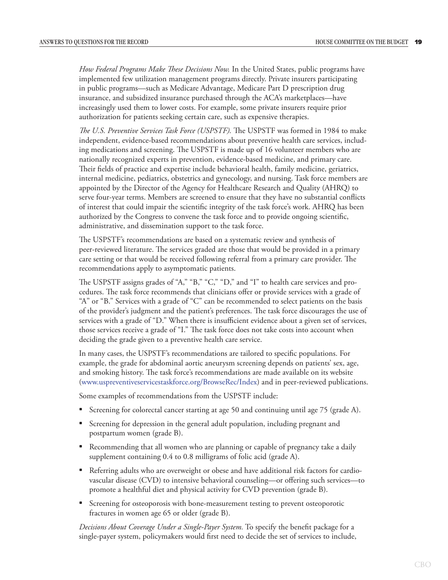*How Federal Programs Make These Decisions Now.* In the United States, public programs have implemented few utilization management programs directly. Private insurers participating in public programs—such as Medicare Advantage, Medicare Part D prescription drug insurance, and subsidized insurance purchased through the ACA's marketplaces—have increasingly used them to lower costs. For example, some private insurers require prior authorization for patients seeking certain care, such as expensive therapies.

*The U.S. Preventive Services Task Force (USPSTF).* The USPSTF was formed in 1984 to make independent, evidence-based recommendations about preventive health care services, including medications and screening. The USPSTF is made up of 16 volunteer members who are nationally recognized experts in prevention, evidence-based medicine, and primary care. Their fields of practice and expertise include behavioral health, family medicine, geriatrics, internal medicine, pediatrics, obstetrics and gynecology, and nursing. Task force members are appointed by the Director of the Agency for Healthcare Research and Quality (AHRQ) to serve four-year terms. Members are screened to ensure that they have no substantial conflicts of interest that could impair the scientific integrity of the task force's work. AHRQ has been authorized by the Congress to convene the task force and to provide ongoing scientific, administrative, and dissemination support to the task force.

The USPSTF's recommendations are based on a systematic review and synthesis of peer-reviewed literature. The services graded are those that would be provided in a primary care setting or that would be received following referral from a primary care provider. The recommendations apply to asymptomatic patients.

The USPSTF assigns grades of "A," "B," "C," "D," and "I" to health care services and procedures. The task force recommends that clinicians offer or provide services with a grade of "A" or "B." Services with a grade of "C" can be recommended to select patients on the basis of the provider's judgment and the patient's preferences. The task force discourages the use of services with a grade of "D." When there is insufficient evidence about a given set of services, those services receive a grade of "I." The task force does not take costs into account when deciding the grade given to a preventive health care service.

In many cases, the USPSTF's recommendations are tailored to specific populations. For example, the grade for abdominal aortic aneurysm screening depends on patients' sex, age, and smoking history. The task force's recommendations are made available on its website ([www.uspreventiveservicestaskforce.org/BrowseRec/Index](https://www.uspreventiveservicestaskforce.org/BrowseRec/Index)) and in peer-reviewed publications.

Some examples of recommendations from the USPSTF include:

- Screening for colorectal cancer starting at age 50 and continuing until age 75 (grade A).
- Screening for depression in the general adult population, including pregnant and postpartum women (grade B).
- Recommending that all women who are planning or capable of pregnancy take a daily supplement containing 0.4 to 0.8 milligrams of folic acid (grade A).
- Referring adults who are overweight or obese and have additional risk factors for cardiovascular disease (CVD) to intensive behavioral counseling—or offering such services—to promote a healthful diet and physical activity for CVD prevention (grade B).
- Screening for osteoporosis with bone-measurement testing to prevent osteoporotic fractures in women age 65 or older (grade B).

*Decisions About Coverage Under a Single-Payer System.* To specify the benefit package for a single-payer system, policymakers would first need to decide the set of services to include,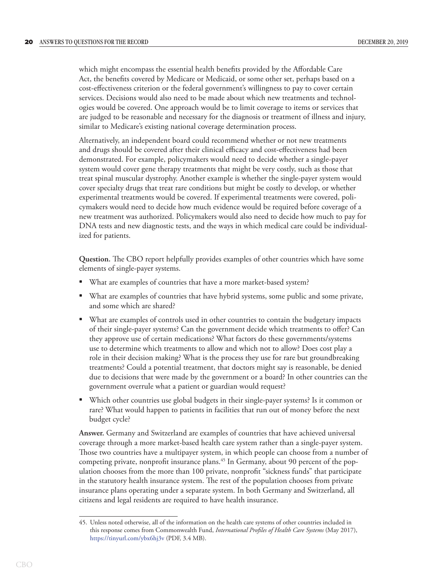which might encompass the essential health benefits provided by the Affordable Care Act, the benefits covered by Medicare or Medicaid, or some other set, perhaps based on a cost-effectiveness criterion or the federal government's willingness to pay to cover certain services. Decisions would also need to be made about which new treatments and technologies would be covered. One approach would be to limit coverage to items or services that are judged to be reasonable and necessary for the diagnosis or treatment of illness and injury, similar to Medicare's existing national coverage determination process.

Alternatively, an independent board could recommend whether or not new treatments and drugs should be covered after their clinical efficacy and cost-effectiveness had been demonstrated. For example, policymakers would need to decide whether a single-payer system would cover gene therapy treatments that might be very costly, such as those that treat spinal muscular dystrophy. Another example is whether the single-payer system would cover specialty drugs that treat rare conditions but might be costly to develop, or whether experimental treatments would be covered. If experimental treatments were covered, policymakers would need to decide how much evidence would be required before coverage of a new treatment was authorized. Policymakers would also need to decide how much to pay for DNA tests and new diagnostic tests, and the ways in which medical care could be individualized for patients.

**Question.** The CBO report helpfully provides examples of other countries which have some elements of single-payer systems.

- What are examples of countries that have a more market-based system?
- What are examples of countries that have hybrid systems, some public and some private, and some which are shared?
- What are examples of controls used in other countries to contain the budgetary impacts of their single-payer systems? Can the government decide which treatments to offer? Can they approve use of certain medications? What factors do these governments/systems use to determine which treatments to allow and which not to allow? Does cost play a role in their decision making? What is the process they use for rare but groundbreaking treatments? Could a potential treatment, that doctors might say is reasonable, be denied due to decisions that were made by the government or a board? In other countries can the government overrule what a patient or guardian would request?
- Which other countries use global budgets in their single-payer systems? Is it common or rare? What would happen to patients in facilities that run out of money before the next budget cycle?

**Answer.** Germany and Switzerland are examples of countries that have achieved universal coverage through a more market-based health care system rather than a single-payer system. Those two countries have a multipayer system, in which people can choose from a number of competing private, nonprofit insurance plans.45 In Germany, about 90 percent of the population chooses from the more than 100 private, nonprofit "sickness funds" that participate in the statutory health insurance system. The rest of the population chooses from private insurance plans operating under a separate system. In both Germany and Switzerland, all citizens and legal residents are required to have health insurance.

<sup>45.</sup> Unless noted otherwise, all of the information on the health care systems of other countries included in this response comes from Commonwealth Fund, *International Profiles of Health Care Systems* (May 2017), <https://tinyurl.com/ybx6hj3v>(PDF, 3.4 MB).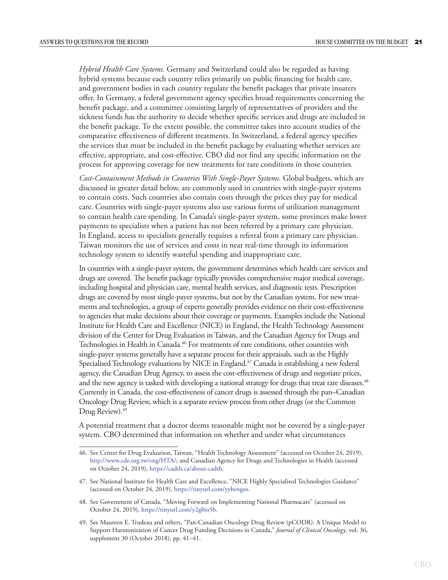*Hybrid Health Care Systems.* Germany and Switzerland could also be regarded as having hybrid systems because each country relies primarily on public financing for health care, and government bodies in each country regulate the benefit packages that private insurers offer. In Germany, a federal government agency specifies broad requirements concerning the benefit package, and a committee consisting largely of representatives of providers and the sickness funds has the authority to decide whether specific services and drugs are included in the benefit package. To the extent possible, the committee takes into account studies of the comparative effectiveness of different treatments. In Switzerland, a federal agency specifies the services that must be included in the benefit package by evaluating whether services are effective, appropriate, and cost-effective. CBO did not find any specific information on the process for approving coverage for new treatments for rare conditions in those countries.

*Cost-Containment Methods in Countries With Single-Payer Systems.* Global budgets, which are discussed in greater detail below, are commonly used in countries with single-payer systems to contain costs. Such countries also contain costs through the prices they pay for medical care. Countries with single-payer systems also use various forms of utilization management to contain health care spending. In Canada's single-payer system, some provinces make lower payments to specialists when a patient has not been referred by a primary care physician. In England, access to specialists generally requires a referral from a primary care physician. Taiwan monitors the use of services and costs in near real-time through its information technology system to identify wasteful spending and inappropriate care.

In countries with a single-payer system, the government determines which health care services and drugs are covered. The benefit package typically provides comprehensive major medical coverage, including hospital and physician care, mental health services, and diagnostic tests. Prescription drugs are covered by most single-payer systems, but not by the Canadian system. For new treatments and technologies, a group of experts generally provides evidence on their cost-effectiveness to agencies that make decisions about their coverage or payments. Examples include the National Institute for Health Care and Excellence (NICE) in England, the Health Technology Assessment division of the Center for Drug Evaluation in Taiwan, and the Canadian Agency for Drugs and Technologies in Health in Canada.<sup>46</sup> For treatments of rare conditions, other countries with single-payer systems generally have a separate process for their appraisals, such as the Highly Specialised Technology evaluations by NICE in England.<sup>47</sup> Canada is establishing a new federal agency, the Canadian Drug Agency, to assess the cost-effectiveness of drugs and negotiate prices, and the new agency is tasked with developing a national strategy for drugs that treat rare diseases.<sup>48</sup> Currently in Canada, the cost-effectiveness of cancer drugs is assessed through the pan–Canadian Oncology Drug Review, which is a separate review process from other drugs (or the Common Drug Review).<sup>49</sup>

A potential treatment that a doctor deems reasonable might not be covered by a single-payer system. CBO determined that information on whether and under what circumstances

<sup>46.</sup> See Center for Drug Evaluation, Taiwan, "Health Technology Assessment" (accessed on October 24, 2019), [http://www.cde.org.tw/eng/HTA/;](http://www.cde.org.tw/eng/HTA/) and Canadian Agency for Drugs and Technologies in Health (accessed on October 24, 2019), [https://cadth.ca/about-cadth.](https://cadth.ca/about-cadth)

<sup>47.</sup> See National Institute for Health Care and Excellence, "NICE Highly Specialised Technologies Guidance" (accessed on October 24, 2019), <https://tinyurl.com/yybengso>.

<sup>48.</sup> See Government of Canada, "Moving Forward on Implementing National Pharmacare" (accessed on October 24, 2019),<https://tinyurl.com/y2gl6o5b>.

<sup>49.</sup> See Maureen E. Trudeau and others, "Pan-Canadian Oncology Drug Review (pCODR): A Unique Model to Support Harmonization of Cancer Drug Funding Decisions in Canada," *Journal of Clinical Oncology*, vol. 36, supplement 30 (October 2018), pp. 41–41.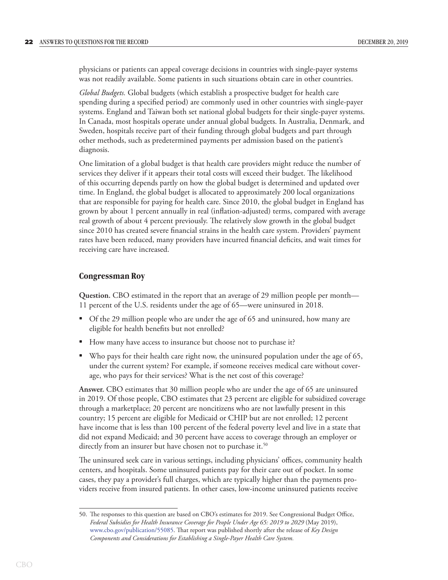physicians or patients can appeal coverage decisions in countries with single-payer systems was not readily available. Some patients in such situations obtain care in other countries.

*Global Budgets.* Global budgets (which establish a prospective budget for health care spending during a specified period) are commonly used in other countries with single-payer systems. England and Taiwan both set national global budgets for their single-payer systems. In Canada, most hospitals operate under annual global budgets. In Australia, Denmark, and Sweden, hospitals receive part of their funding through global budgets and part through other methods, such as predetermined payments per admission based on the patient's diagnosis.

One limitation of a global budget is that health care providers might reduce the number of services they deliver if it appears their total costs will exceed their budget. The likelihood of this occurring depends partly on how the global budget is determined and updated over time. In England, the global budget is allocated to approximately 200 local organizations that are responsible for paying for health care. Since 2010, the global budget in England has grown by about 1 percent annually in real (inflation-adjusted) terms, compared with average real growth of about 4 percent previously. The relatively slow growth in the global budget since 2010 has created severe financial strains in the health care system. Providers' payment rates have been reduced, many providers have incurred financial deficits, and wait times for receiving care have increased.

#### **Congressman Roy**

**Question.** CBO estimated in the report that an average of 29 million people per month— 11 percent of the U.S. residents under the age of 65—were uninsured in 2018.

- Of the 29 million people who are under the age of 65 and uninsured, how many are eligible for health benefits but not enrolled?
- How many have access to insurance but choose not to purchase it?
- Who pays for their health care right now, the uninsured population under the age of 65, under the current system? For example, if someone receives medical care without coverage, who pays for their services? What is the net cost of this coverage?

**Answer.** CBO estimates that 30 million people who are under the age of 65 are uninsured in 2019. Of those people, CBO estimates that 23 percent are eligible for subsidized coverage through a marketplace; 20 percent are noncitizens who are not lawfully present in this country; 15 percent are eligible for Medicaid or CHIP but are not enrolled; 12 percent have income that is less than 100 percent of the federal poverty level and live in a state that did not expand Medicaid; and 30 percent have access to coverage through an employer or directly from an insurer but have chosen not to purchase it.<sup>50</sup>

The uninsured seek care in various settings, including physicians' offices, community health centers, and hospitals. Some uninsured patients pay for their care out of pocket. In some cases, they pay a provider's full charges, which are typically higher than the payments providers receive from insured patients. In other cases, low-income uninsured patients receive

<sup>50.</sup> The responses to this question are based on CBO's estimates for 2019. See Congressional Budget Office, *Federal Subsidies for Health Insurance Coverage for People Under Age 65: 2019 to 2029* (May 2019), [www.cbo.gov/publication/55085](https://www.cbo.gov/publication/55085). That report was published shortly after the release of *Key Design Components and Considerations for Establishing a Single-Payer Health Care System.*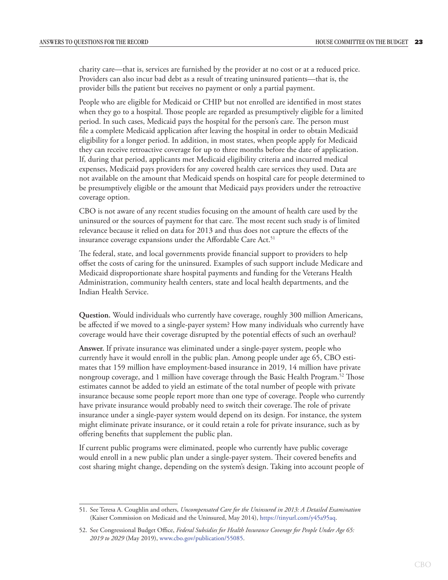charity care—that is, services are furnished by the provider at no cost or at a reduced price. Providers can also incur bad debt as a result of treating uninsured patients—that is, the provider bills the patient but receives no payment or only a partial payment.

People who are eligible for Medicaid or CHIP but not enrolled are identified in most states when they go to a hospital. Those people are regarded as presumptively eligible for a limited period. In such cases, Medicaid pays the hospital for the person's care. The person must file a complete Medicaid application after leaving the hospital in order to obtain Medicaid eligibility for a longer period. In addition, in most states, when people apply for Medicaid they can receive retroactive coverage for up to three months before the date of application. If, during that period, applicants met Medicaid eligibility criteria and incurred medical expenses, Medicaid pays providers for any covered health care services they used. Data are not available on the amount that Medicaid spends on hospital care for people determined to be presumptively eligible or the amount that Medicaid pays providers under the retroactive coverage option.

CBO is not aware of any recent studies focusing on the amount of health care used by the uninsured or the sources of payment for that care. The most recent such study is of limited relevance because it relied on data for 2013 and thus does not capture the effects of the insurance coverage expansions under the Affordable Care Act.<sup>51</sup>

The federal, state, and local governments provide financial support to providers to help offset the costs of caring for the uninsured. Examples of such support include Medicare and Medicaid disproportionate share hospital payments and funding for the Veterans Health Administration, community health centers, state and local health departments, and the Indian Health Service.

**Question.** Would individuals who currently have coverage, roughly 300 million Americans, be affected if we moved to a single-payer system? How many individuals who currently have coverage would have their coverage disrupted by the potential effects of such an overhaul?

**Answer.** If private insurance was eliminated under a single-payer system, people who currently have it would enroll in the public plan. Among people under age 65, CBO estimates that 159 million have employment-based insurance in 2019, 14 million have private nongroup coverage, and 1 million have coverage through the Basic Health Program.<sup>52</sup> Those estimates cannot be added to yield an estimate of the total number of people with private insurance because some people report more than one type of coverage. People who currently have private insurance would probably need to switch their coverage. The role of private insurance under a single-payer system would depend on its design. For instance, the system might eliminate private insurance, or it could retain a role for private insurance, such as by offering benefits that supplement the public plan.

If current public programs were eliminated, people who currently have public coverage would enroll in a new public plan under a single-payer system. Their covered benefits and cost sharing might change, depending on the system's design. Taking into account people of

<sup>51.</sup> See Teresa A. Coughlin and others, *Uncompensated Care for the Uninsured in 2013: A Detailed Examination*  (Kaiser Commission on Medicaid and the Uninsured, May 2014), [https://tinyurl.com/y45a95aq.](https://www.kff.org/uninsured/report/uncompensated-care-for-the-uninsured-in-2013-a-detailed-examination/)

<sup>52.</sup> See Congressional Budget Office, *Federal Subsidies for Health Insurance Coverage for People Under Age 65: 2019 to 2029* (May 2019), [www.cbo.gov/publication/55085](https://www.cbo.gov/publication/55085).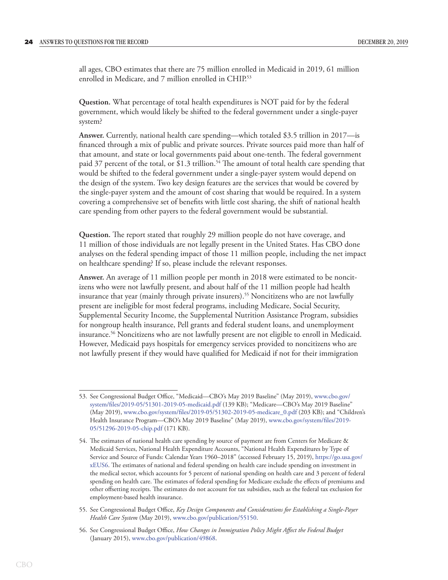all ages, CBO estimates that there are 75 million enrolled in Medicaid in 2019, 61 million enrolled in Medicare, and 7 million enrolled in CHIP.<sup>53</sup>

**Question.** What percentage of total health expenditures is NOT paid for by the federal government, which would likely be shifted to the federal government under a single-payer system?

**Answer.** Currently, national health care spending—which totaled \$3.5 trillion in 2017—is financed through a mix of public and private sources. Private sources paid more than half of that amount, and state or local governments paid about one-tenth. The federal government paid 37 percent of the total, or \$1.3 trillion.<sup>54</sup> The amount of total health care spending that would be shifted to the federal government under a single-payer system would depend on the design of the system. Two key design features are the services that would be covered by the single-payer system and the amount of cost sharing that would be required. In a system covering a comprehensive set of benefits with little cost sharing, the shift of national health care spending from other payers to the federal government would be substantial.

**Question.** The report stated that roughly 29 million people do not have coverage, and 11 million of those individuals are not legally present in the United States. Has CBO done analyses on the federal spending impact of those 11 million people, including the net impact on healthcare spending? If so, please include the relevant responses.

**Answer.** An average of 11 million people per month in 2018 were estimated to be noncitizens who were not lawfully present, and about half of the 11 million people had health insurance that year (mainly through private insurers).<sup>55</sup> Noncitizens who are not lawfully present are ineligible for most federal programs, including Medicare, Social Security, Supplemental Security Income, the Supplemental Nutrition Assistance Program, subsidies for nongroup health insurance, Pell grants and federal student loans, and unemployment insurance.<sup>56</sup> Noncitizens who are not lawfully present are not eligible to enroll in Medicaid. However, Medicaid pays hospitals for emergency services provided to noncitizens who are not lawfully present if they would have qualified for Medicaid if not for their immigration

<sup>53.</sup> See Congressional Budget Office, "Medicaid—CBO's May 2019 Baseline" (May 2019), [www.cbo.gov/](https://www.cbo.gov/system/files/2019-05/51301-2019-05-medicaid.pdf) [system/files/2019-05/51301-2019-05-medicaid.pdf](https://www.cbo.gov/system/files/2019-05/51301-2019-05-medicaid.pdf) (139 KB); "Medicare—CBO's May 2019 Baseline" (May 2019), [www.cbo.gov/system/files/2019-05/51302-2019-05-medicare\\_0.pdf](https://www.cbo.gov/system/files/2019-05/51302-2019-05-medicare_0.pdf) (203 KB); and "Children's Health Insurance Program—CBO's May 2019 Baseline" (May 2019), [www.cbo.gov/system/files/2019-](https://www.cbo.gov/system/files/2019-05/51296-2019-05-chip.pdf) [05/51296-2019-05-chip.pdf](https://www.cbo.gov/system/files/2019-05/51296-2019-05-chip.pdf) (171 KB).

<sup>54.</sup> The estimates of national health care spending by source of payment are from Centers for Medicare & Medicaid Services, National Health Expenditure Accounts, "National Health Expenditures by Type of Service and Source of Funds: Calendar Years 1960–2018" (accessed February 15, 2019), [https://go.usa.gov/](https://go.usa.gov/xEUS6) [xEUS6.](https://go.usa.gov/xEUS6) The estimates of national and federal spending on health care include spending on investment in the medical sector, which accounts for 5 percent of national spending on health care and 3 percent of federal spending on health care. The estimates of federal spending for Medicare exclude the effects of premiums and other offsetting receipts. The estimates do not account for tax subsidies, such as the federal tax exclusion for employment-based health insurance.

<sup>55.</sup> See Congressional Budget Office, *Key Design Components and Considerations for Establishing a Single-Payer Health Care System* (May 2019), [www.cbo.gov/publication/55150.](https://www.cbo.gov/publication/55150)

<sup>56.</sup> See Congressional Budget Office, *How Changes in Immigration Policy Might Affect the Federal Budget*  (January 2015), [www.cbo.gov/publication/49868](https://www.cbo.gov/publication/49868).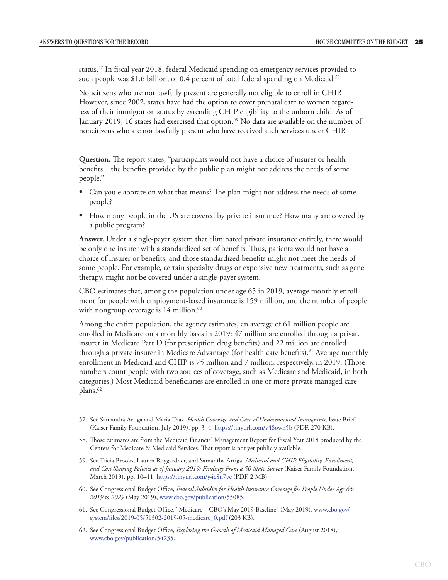status.57 In fiscal year 2018, federal Medicaid spending on emergency services provided to such people was \$1.6 billion, or  $0.4$  percent of total federal spending on Medicaid.<sup>58</sup>

Noncitizens who are not lawfully present are generally not eligible to enroll in CHIP. However, since 2002, states have had the option to cover prenatal care to women regardless of their immigration status by extending CHIP eligibility to the unborn child. As of January 2019, 16 states had exercised that option.<sup>59</sup> No data are available on the number of noncitizens who are not lawfully present who have received such services under CHIP.

**Question.** The report states, "participants would not have a choice of insurer or health benefits... the benefits provided by the public plan might not address the needs of some people."

- Can you elaborate on what that means? The plan might not address the needs of some people?
- How many people in the US are covered by private insurance? How many are covered by a public program?

**Answer.** Under a single-payer system that eliminated private insurance entirely, there would be only one insurer with a standardized set of benefits. Thus, patients would not have a choice of insurer or benefits, and those standardized benefits might not meet the needs of some people. For example, certain specialty drugs or expensive new treatments, such as gene therapy, might not be covered under a single-payer system.

CBO estimates that, among the population under age 65 in 2019, average monthly enrollment for people with employment-based insurance is 159 million, and the number of people with nongroup coverage is 14 million.<sup>60</sup>

Among the entire population, the agency estimates, an average of 61 million people are enrolled in Medicare on a monthly basis in 2019: 47 million are enrolled through a private insurer in Medicare Part D (for prescription drug benefits) and 22 million are enrolled through a private insurer in Medicare Advantage (for health care benefits).<sup>61</sup> Average monthly enrollment in Medicaid and CHIP is 75 million and 7 million, respectively, in 2019. (Those numbers count people with two sources of coverage, such as Medicare and Medicaid, in both categories.) Most Medicaid beneficiaries are enrolled in one or more private managed care plans.<sup>62</sup>

- 60. See Congressional Budget Office, *Federal Subsidies for Health Insurance Coverage for People Under Age 65: 2019 to 2029* (May 2019), [www.cbo.gov/publication/55085](https://www.cbo.gov/publication/55085).
- 61. See Congressional Budget Office, "Medicare—CBO's May 2019 Baseline" (May 2019), [www.cbo.gov/](https://www.cbo.gov/system/files/2019-05/51302-2019-05-medicare_0.pdf) [system/files/2019-05/51302-2019-05-medicare\\_0.pdf](https://www.cbo.gov/system/files/2019-05/51302-2019-05-medicare_0.pdf) (203 KB).
- 62. See Congressional Budget Office, *Exploring the Growth of Medicaid Managed Care* (August 2018), [www.cbo.gov/publication/54235](https://www.cbo.gov/publication/54235).

<sup>57.</sup> See Samantha Artiga and Maria Diaz, *Health Coverage and Care of Undocumented Immigrants*, Issue Brief (Kaiser Family Foundation, July 2019), pp. 3–4, <https://tinyurl.com/y48owh5b>(PDF, 270 KB).

<sup>58.</sup> Those estimates are from the Medicaid Financial Management Report for Fiscal Year 2018 produced by the Centers for Medicare & Medicaid Services. That report is not yet publicly available.

<sup>59.</sup> See Tricia Brooks, Lauren Roygardner, and Samantha Artiga, *Medicaid and CHIP Eligibility, Enrollment, and Cost Sharing Policies as of January 2019: Findings From a 50-State Survey* (Kaiser Family Foundation, March 2019), pp. 10–11, [https://tinyurl.com/y4c8n7ye](http://files.kff.org/attachment/Report-Medicaid-and-CHIP-Eligibility-Enrollment-Renewal-and-Cost-Sharing-Policies-as-of-January-2019) (PDF, 2 MB).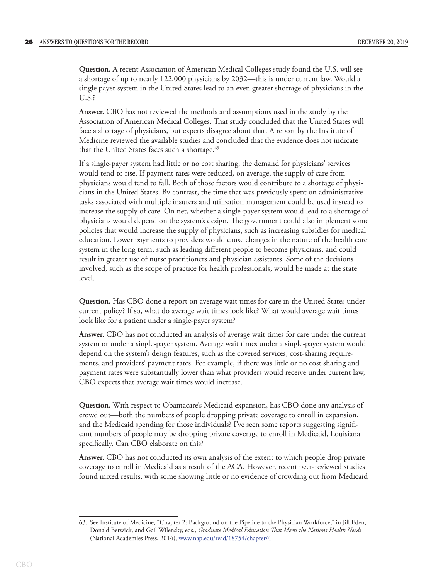**Question.** A recent Association of American Medical Colleges study found the U.S. will see a shortage of up to nearly 122,000 physicians by 2032—this is under current law. Would a single payer system in the United States lead to an even greater shortage of physicians in the U.S.?

**Answer.** CBO has not reviewed the methods and assumptions used in the study by the Association of American Medical Colleges. That study concluded that the United States will face a shortage of physicians, but experts disagree about that. A report by the Institute of Medicine reviewed the available studies and concluded that the evidence does not indicate that the United States faces such a shortage.<sup>63</sup>

If a single-payer system had little or no cost sharing, the demand for physicians' services would tend to rise. If payment rates were reduced, on average, the supply of care from physicians would tend to fall. Both of those factors would contribute to a shortage of physicians in the United States. By contrast, the time that was previously spent on administrative tasks associated with multiple insurers and utilization management could be used instead to increase the supply of care. On net, whether a single-payer system would lead to a shortage of physicians would depend on the system's design. The government could also implement some policies that would increase the supply of physicians, such as increasing subsidies for medical education. Lower payments to providers would cause changes in the nature of the health care system in the long term, such as leading different people to become physicians, and could result in greater use of nurse practitioners and physician assistants. Some of the decisions involved, such as the scope of practice for health professionals, would be made at the state level.

**Question.** Has CBO done a report on average wait times for care in the United States under current policy? If so, what do average wait times look like? What would average wait times look like for a patient under a single-payer system?

**Answer.** CBO has not conducted an analysis of average wait times for care under the current system or under a single-payer system. Average wait times under a single-payer system would depend on the system's design features, such as the covered services, cost-sharing requirements, and providers' payment rates. For example, if there was little or no cost sharing and payment rates were substantially lower than what providers would receive under current law, CBO expects that average wait times would increase.

**Question.** With respect to Obamacare's Medicaid expansion, has CBO done any analysis of crowd out—both the numbers of people dropping private coverage to enroll in expansion, and the Medicaid spending for those individuals? I've seen some reports suggesting significant numbers of people may be dropping private coverage to enroll in Medicaid, Louisiana specifically. Can CBO elaborate on this?

**Answer.** CBO has not conducted its own analysis of the extent to which people drop private coverage to enroll in Medicaid as a result of the ACA. However, recent peer-reviewed studies found mixed results, with some showing little or no evidence of crowding out from Medicaid

<sup>63.</sup> See Institute of Medicine, "Chapter 2: Background on the Pipeline to the Physician Workforce," in Jill Eden, Donald Berwick, and Gail Wilensky, eds., *Graduate Medical Education That Meets the Nation's Health Needs*  (National Academies Press, 2014), [www.nap.edu/read/18754/chapter/4.](https://www.nap.edu/read/18754/chapter/4)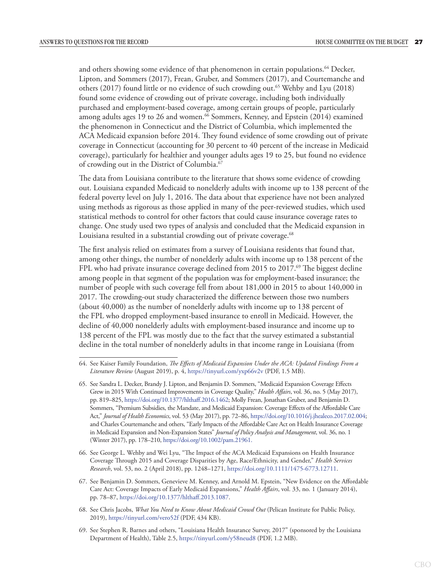and others showing some evidence of that phenomenon in certain populations.<sup>64</sup> Decker, Lipton, and Sommers (2017), Frean, Gruber, and Sommers (2017), and Courtemanche and others (2017) found little or no evidence of such crowding out.65 Wehby and Lyu (2018) found some evidence of crowding out of private coverage, including both individually purchased and employment-based coverage, among certain groups of people, particularly among adults ages 19 to 26 and women.<sup>66</sup> Sommers, Kenney, and Epstein (2014) examined the phenomenon in Connecticut and the District of Columbia, which implemented the ACA Medicaid expansion before 2014. They found evidence of some crowding out of private coverage in Connecticut (accounting for 30 percent to 40 percent of the increase in Medicaid coverage), particularly for healthier and younger adults ages 19 to 25, but found no evidence of crowding out in the District of Columbia.<sup>67</sup>

The data from Louisiana contribute to the literature that shows some evidence of crowding out. Louisiana expanded Medicaid to nonelderly adults with income up to 138 percent of the federal poverty level on July 1, 2016. The data about that experience have not been analyzed using methods as rigorous as those applied in many of the peer-reviewed studies, which used statistical methods to control for other factors that could cause insurance coverage rates to change. One study used two types of analysis and concluded that the Medicaid expansion in Louisiana resulted in a substantial crowding out of private coverage.<sup>68</sup>

The first analysis relied on estimates from a survey of Louisiana residents that found that, among other things, the number of nonelderly adults with income up to 138 percent of the FPL who had private insurance coverage declined from 2015 to 2017.<sup>69</sup> The biggest decline among people in that segment of the population was for employment-based insurance; the number of people with such coverage fell from about 181,000 in 2015 to about 140,000 in 2017. The crowding-out study characterized the difference between those two numbers (about 40,000) as the number of nonelderly adults with income up to 138 percent of the FPL who dropped employment-based insurance to enroll in Medicaid. However, the decline of 40,000 nonelderly adults with employment-based insurance and income up to 138 percent of the FPL was mostly due to the fact that the survey estimated a substantial decline in the total number of nonelderly adults in that income range in Louisiana (from

- 66. See George L. Wehby and Wei Lyu, "The Impact of the ACA Medicaid Expansions on Health Insurance Coverage Through 2015 and Coverage Disparities by Age, Race/Ethnicity, and Gender," *Health Services Research*, vol. 53, no. 2 (April 2018), pp. 1248–1271, <https://doi.org/10.1111/1475-6773.12711>.
- 67. See Benjamin D. Sommers, Genevieve M. Kenney, and Arnold M. Epstein, "New Evidence on the Affordable Care Act: Coverage Impacts of Early Medicaid Expansions," *Health Affairs*, vol. 33, no. 1 (January 2014), pp. 78–87, [https://doi.org/10.1377/hlthaff.2013.1087.](https://doi.org/10.1377/hlthaff.2013.1087)
- 68. See Chris Jacobs, *What You Need to Know About Medicaid Crowd Out* (Pelican Institute for Public Policy, 2019), [https://tinyurl.com/vero52f](https://pelicaninstitute.org/wp-content/uploads/2019/05/PEL_MedicaidCrowdOut_WEB-2.pdf) (PDF, 434 KB).
- 69. See Stephen R. Barnes and others, "Louisiana Health Insurance Survey, 2017" (sponsored by the Louisiana Department of Health), Table 2.5, [https://tinyurl.com/y58neud8](http://ldh.la.gov/assets/media/2017-Louisiana-Health-Insurance-Survey-Report.pdf?mod=article_inline) (PDF, 1.2 MB).

<sup>64.</sup> See Kaiser Family Foundation, *The Effects of Medicaid Expansion Under the ACA: Updated Findings From a Literature Review* (August 2019), p. 4, [https://tinyurl.com/yxp66v2v](http://files.kff.org/attachment/Issue-brief-The-Effects-of-Medicaid-Expansion-under-the-ACA-Findings-from-a-Literature-Review) (PDF, 1.5 MB).

<sup>65.</sup> See Sandra L. Decker, Brandy J. Lipton, and Benjamin D. Sommers, "Medicaid Expansion Coverage Effects Grew in 2015 With Continued Improvements in Coverage Quality," *Health Affairs*, vol. 36, no. 5 (May 2017), pp. 819–825,<https://doi.org/10.1377/hlthaff.2016.1462>; Molly Frean, Jonathan Gruber, and Benjamin D. Sommers, "Premium Subsidies, the Mandate, and Medicaid Expansion: Coverage Effects of the Affordable Care Act," *Journal of Health Economics*, vol. 53 (May 2017), pp. 72–86, [https://doi.org/10.1016/j.jhealeco.2017.02.004;](https://doi.org/10.1016/j.jhealeco.2017.02.004) and Charles Courtemanche and others, "Early Impacts of the Affordable Care Act on Health Insurance Coverage in Medicaid Expansion and Non-Expansion States" *Journal of Policy Analysis and Management*, vol. 36, no. 1 (Winter 2017), pp. 178–210, [https://doi.org/10.1002/pam.21961.](https://doi.org/10.1002/pam.21961)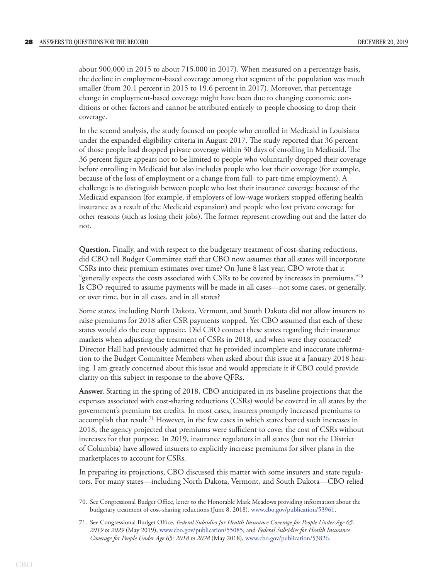about 900,000 in 2015 to about 715,000 in 2017). When measured on a percentage basis, the decline in employment-based coverage among that segment of the population was much smaller (from 20.1 percent in 2015 to 19.6 percent in 2017). Moreover, that percentage change in employment-based coverage might have been due to changing economic conditions or other factors and cannot be attributed entirely to people choosing to drop their coverage.

In the second analysis, the study focused on people who enrolled in Medicaid in Louisiana under the expanded eligibility criteria in August 2017. The study reported that 36 percent of those people had dropped private coverage within 30 days of enrolling in Medicaid. The 36 percent figure appears not to be limited to people who voluntarily dropped their coverage before enrolling in Medicaid but also includes people who lost their coverage (for example, because of the loss of employment or a change from full- to part-time employment). A challenge is to distinguish between people who lost their insurance coverage because of the Medicaid expansion (for example, if employers of low-wage workers stopped offering health insurance as a result of the Medicaid expansion) and people who lost private coverage for other reasons (such as losing their jobs). The former represent crowding out and the latter do not.

**Question.** Finally, and with respect to the budgetary treatment of cost-sharing reductions, did CBO tell Budget Committee staff that CBO now assumes that all states will incorporate CSRs into their premium estimates over time? On June 8 last year, CBO wrote that it "generally expects the costs associated with CSRs to be covered by increases in premiums." $70$ Is CBO required to assume payments will be made in all cases—not some cases, or generally, or over time, but in all cases, and in all states?

Some states, including North Dakota, Vermont, and South Dakota did not allow insurers to raise premiums for 2018 after CSR payments stopped. Yet CBO assumed that each of these states would do the exact opposite. Did CBO contact these states regarding their insurance markets when adjusting the treatment of CSRs in 2018, and when were they contacted? Director Hall had previously admitted that he provided incomplete and inaccurate information to the Budget Committee Members when asked about this issue at a January 2018 hearing. I am greatly concerned about this issue and would appreciate it if CBO could provide clarity on this subject in response to the above QFRs.

**Answer.** Starting in the spring of 2018, CBO anticipated in its baseline projections that the expenses associated with cost-sharing reductions (CSRs) would be covered in all states by the government's premium tax credits. In most cases, insurers promptly increased premiums to accomplish that result.<sup>71</sup> However, in the few cases in which states barred such increases in 2018, the agency projected that premiums were sufficient to cover the cost of CSRs without increases for that purpose. In 2019, insurance regulators in all states (but not the District of Columbia) have allowed insurers to explicitly increase premiums for silver plans in the marketplaces to account for CSRs.

In preparing its projections, CBO discussed this matter with some insurers and state regulators. For many states—including North Dakota, Vermont, and South Dakota—CBO relied

<sup>70.</sup> See Congressional Budget Office, letter to the Honorable Mark Meadows providing information about the budgetary treatment of cost-sharing reductions (June 8, 2018), [www.cbo.gov/publication/53961](http://www.cbo.gov/publication/53961).

<sup>71.</sup> See Congressional Budget Office, *Federal Subsidies for Health Insurance Coverage for People Under Age 65: 2019 to 2029* (May 2019), [www.cbo.gov/publication/55085](http://www.cbo.gov/publication/55085), and *Federal Subsidies for Health Insurance Coverage for People Under Age 65: 2018 to 2028* (May 2018), [www.cbo.gov/publication/53826](http://www.cbo.gov/publication/53826).